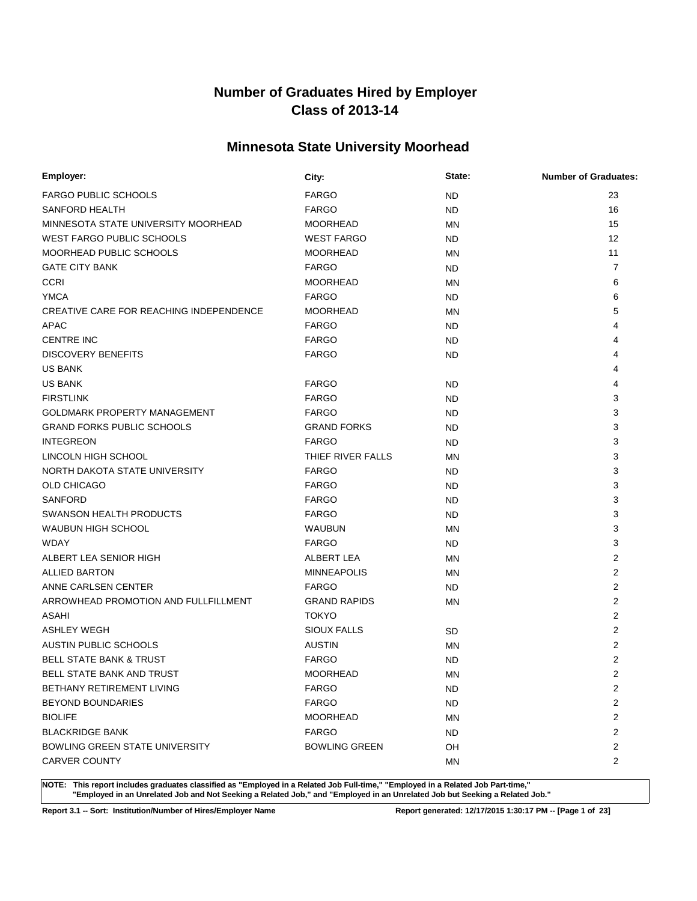# **Minnesota State University Moorhead**

| Employer:                               | City:                | State:    | <b>Number of Graduates:</b> |
|-----------------------------------------|----------------------|-----------|-----------------------------|
| <b>FARGO PUBLIC SCHOOLS</b>             | <b>FARGO</b>         | ND.       | 23                          |
| <b>SANFORD HEALTH</b>                   | <b>FARGO</b>         | ND.       | 16                          |
| MINNESOTA STATE UNIVERSITY MOORHEAD     | <b>MOORHEAD</b>      | <b>MN</b> | 15                          |
| WEST FARGO PUBLIC SCHOOLS               | <b>WEST FARGO</b>    | ND.       | 12                          |
| MOORHEAD PUBLIC SCHOOLS                 | <b>MOORHEAD</b>      | <b>MN</b> | 11                          |
| <b>GATE CITY BANK</b>                   | <b>FARGO</b>         | ND.       | $\overline{7}$              |
| <b>CCRI</b>                             | <b>MOORHEAD</b>      | ΜN        | 6                           |
| <b>YMCA</b>                             | <b>FARGO</b>         | ND.       | 6                           |
| CREATIVE CARE FOR REACHING INDEPENDENCE | <b>MOORHEAD</b>      | <b>MN</b> | 5                           |
| <b>APAC</b>                             | <b>FARGO</b>         | ND.       | 4                           |
| <b>CENTRE INC</b>                       | <b>FARGO</b>         | ND.       |                             |
| <b>DISCOVERY BENEFITS</b>               | <b>FARGO</b>         | ND.       |                             |
| <b>US BANK</b>                          |                      |           |                             |
| <b>US BANK</b>                          | <b>FARGO</b>         | ND.       | 4                           |
| <b>FIRSTLINK</b>                        | <b>FARGO</b>         | ND.       | 3                           |
| <b>GOLDMARK PROPERTY MANAGEMENT</b>     | <b>FARGO</b>         | ND.       | 3                           |
| <b>GRAND FORKS PUBLIC SCHOOLS</b>       | <b>GRAND FORKS</b>   | ND.       | 3                           |
| <b>INTEGREON</b>                        | <b>FARGO</b>         | ND.       | 3                           |
| LINCOLN HIGH SCHOOL                     | THIEF RIVER FALLS    | <b>MN</b> | 3                           |
| NORTH DAKOTA STATE UNIVERSITY           | <b>FARGO</b>         | ND.       | 3                           |
| <b>OLD CHICAGO</b>                      | <b>FARGO</b>         | ND.       | 3                           |
| <b>SANFORD</b>                          | <b>FARGO</b>         | ND.       | 3                           |
| SWANSON HEALTH PRODUCTS                 | <b>FARGO</b>         | ND.       | 3                           |
| <b>WAUBUN HIGH SCHOOL</b>               | <b>WAUBUN</b>        | MN        | 3                           |
| <b>WDAY</b>                             | <b>FARGO</b>         | ND.       | 3                           |
| ALBERT LEA SENIOR HIGH                  | ALBERT LEA           | MN        | $\overline{2}$              |
| <b>ALLIED BARTON</b>                    | <b>MINNEAPOLIS</b>   | <b>MN</b> | 2                           |
| ANNE CARLSEN CENTER                     | <b>FARGO</b>         | ND.       | 2                           |
| ARROWHEAD PROMOTION AND FULLFILLMENT    | <b>GRAND RAPIDS</b>  | <b>MN</b> | 2                           |
| ASAHI                                   | <b>TOKYO</b>         |           | $\overline{2}$              |
| <b>ASHLEY WEGH</b>                      | <b>SIOUX FALLS</b>   | <b>SD</b> | $\overline{2}$              |
| AUSTIN PUBLIC SCHOOLS                   | <b>AUSTIN</b>        | MN        | 2                           |
| <b>BELL STATE BANK &amp; TRUST</b>      | <b>FARGO</b>         | <b>ND</b> | $\overline{2}$              |
| <b>BELL STATE BANK AND TRUST</b>        | <b>MOORHEAD</b>      | ΜN        | $\overline{2}$              |
| BETHANY RETIREMENT LIVING               | <b>FARGO</b>         | <b>ND</b> | $\overline{2}$              |
| <b>BEYOND BOUNDARIES</b>                | <b>FARGO</b>         | ND.       | $\overline{2}$              |
| <b>BIOLIFE</b>                          | <b>MOORHEAD</b>      | ΜN        | $\overline{2}$              |
| <b>BLACKRIDGE BANK</b>                  | <b>FARGO</b>         | ND.       | 2                           |
| <b>BOWLING GREEN STATE UNIVERSITY</b>   | <b>BOWLING GREEN</b> | OH        | $\overline{c}$              |
| <b>CARVER COUNTY</b>                    |                      | ΜN        | $\overline{2}$              |

**NOTE: This report includes graduates classified as "Employed in a Related Job Full-time," "Employed in a Related Job Part-time," "Employed in an Unrelated Job and Not Seeking a Related Job," and "Employed in an Unrelated Job but Seeking a Related Job."**

**Report 3.1 -- Sort: Institution/Number of Hires/Employer Name Report generated: 12/17/2015 1:30:17 PM -- [Page 1 of 23]**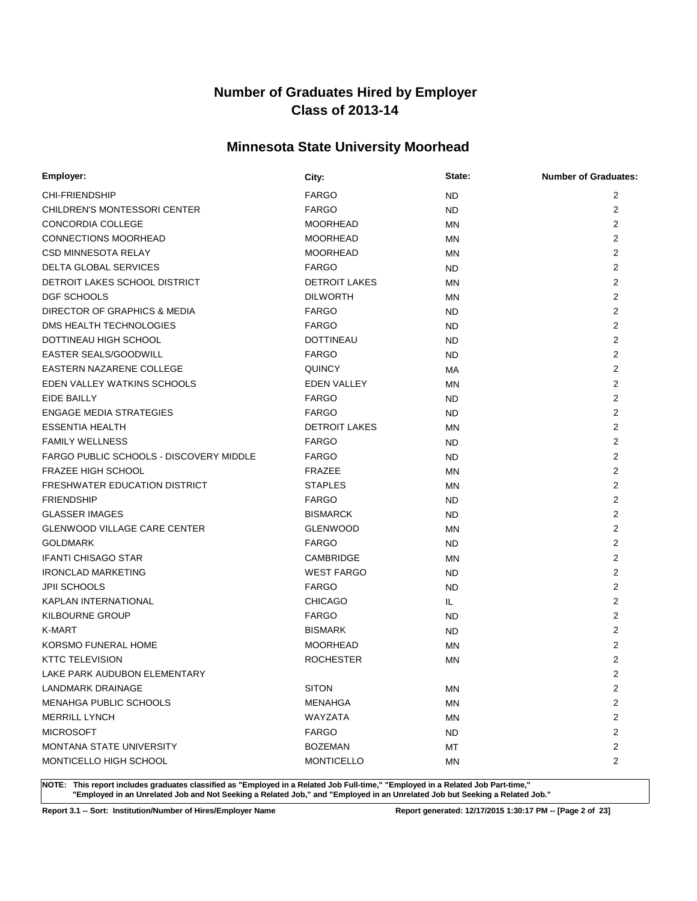# **Minnesota State University Moorhead**

| Employer:                               | City:                | State:    | <b>Number of Graduates:</b> |
|-----------------------------------------|----------------------|-----------|-----------------------------|
| <b>CHI-FRIENDSHIP</b>                   | <b>FARGO</b>         | ND.       | $\overline{2}$              |
| <b>CHILDREN'S MONTESSORI CENTER</b>     | <b>FARGO</b>         | ND.       | 2                           |
| CONCORDIA COLLEGE                       | <b>MOORHEAD</b>      | <b>MN</b> | $\overline{2}$              |
| <b>CONNECTIONS MOORHEAD</b>             | <b>MOORHEAD</b>      | MN        | $\overline{2}$              |
| <b>CSD MINNESOTA RELAY</b>              | <b>MOORHEAD</b>      | ΜN        | 2                           |
| DELTA GLOBAL SERVICES                   | <b>FARGO</b>         | ND.       | 2                           |
| DETROIT LAKES SCHOOL DISTRICT           | <b>DETROIT LAKES</b> | MN        | $\overline{2}$              |
| DGF SCHOOLS                             | <b>DILWORTH</b>      | MN        | 2                           |
| DIRECTOR OF GRAPHICS & MEDIA            | <b>FARGO</b>         | ND.       | 2                           |
| DMS HEALTH TECHNOLOGIES                 | <b>FARGO</b>         | ND.       | $\overline{2}$              |
| DOTTINEAU HIGH SCHOOL                   | <b>DOTTINEAU</b>     | ND.       | 2                           |
| <b>EASTER SEALS/GOODWILL</b>            | <b>FARGO</b>         | ND.       | 2                           |
| EASTERN NAZARENE COLLEGE                | <b>QUINCY</b>        | МA        | $\overline{2}$              |
| EDEN VALLEY WATKINS SCHOOLS             | <b>EDEN VALLEY</b>   | ΜN        | $\overline{2}$              |
| <b>EIDE BAILLY</b>                      | <b>FARGO</b>         | ND.       | $\overline{2}$              |
| <b>ENGAGE MEDIA STRATEGIES</b>          | <b>FARGO</b>         | ND.       | 2                           |
| <b>ESSENTIA HEALTH</b>                  | <b>DETROIT LAKES</b> | ΜN        | 2                           |
| <b>FAMILY WELLNESS</b>                  | <b>FARGO</b>         | ND.       | 2                           |
| FARGO PUBLIC SCHOOLS - DISCOVERY MIDDLE | <b>FARGO</b>         | ND.       | $\overline{2}$              |
| <b>FRAZEE HIGH SCHOOL</b>               | <b>FRAZEE</b>        | MN        | $\overline{2}$              |
| FRESHWATER EDUCATION DISTRICT           | <b>STAPLES</b>       | MN        | $\overline{2}$              |
| <b>FRIENDSHIP</b>                       | <b>FARGO</b>         | ND.       | 2                           |
| <b>GLASSER IMAGES</b>                   | <b>BISMARCK</b>      | ND.       | $\overline{2}$              |
| <b>GLENWOOD VILLAGE CARE CENTER</b>     | <b>GLENWOOD</b>      | MN        | 2                           |
| <b>GOLDMARK</b>                         | <b>FARGO</b>         | ND.       | $\overline{2}$              |
| <b>IFANTI CHISAGO STAR</b>              | CAMBRIDGE            | <b>MN</b> | $\overline{2}$              |
| <b>IRONCLAD MARKETING</b>               | <b>WEST FARGO</b>    | ND.       | 2                           |
| <b>JPII SCHOOLS</b>                     | <b>FARGO</b>         | ND.       | $\overline{2}$              |
| <b>KAPLAN INTERNATIONAL</b>             | <b>CHICAGO</b>       | IL.       | 2                           |
| <b>KILBOURNE GROUP</b>                  | <b>FARGO</b>         | ND.       | $\overline{2}$              |
| K-MART                                  | <b>BISMARK</b>       | ND.       | $\overline{2}$              |
| KORSMO FUNERAL HOME                     | <b>MOORHEAD</b>      | MN        | 2                           |
| <b>KTTC TELEVISION</b>                  | <b>ROCHESTER</b>     | ΜN        | $\overline{2}$              |
| LAKE PARK AUDUBON ELEMENTARY            |                      |           | $\overline{2}$              |
| LANDMARK DRAINAGE                       | <b>SITON</b>         | ΜN        | $\overline{2}$              |
| <b>MENAHGA PUBLIC SCHOOLS</b>           | <b>MENAHGA</b>       | ΜN        | $\overline{2}$              |
| <b>MERRILL LYNCH</b>                    | WAYZATA              | MN        | $\overline{2}$              |
| <b>MICROSOFT</b>                        | <b>FARGO</b>         | ND.       | $\overline{2}$              |
| <b>MONTANA STATE UNIVERSITY</b>         | <b>BOZEMAN</b>       | МT        | $\overline{c}$              |
| MONTICELLO HIGH SCHOOL                  | <b>MONTICELLO</b>    | ΜN        | $\overline{2}$              |

**NOTE: This report includes graduates classified as "Employed in a Related Job Full-time," "Employed in a Related Job Part-time," "Employed in an Unrelated Job and Not Seeking a Related Job," and "Employed in an Unrelated Job but Seeking a Related Job."**

**Report 3.1 -- Sort: Institution/Number of Hires/Employer Name Report generated: 12/17/2015 1:30:17 PM -- [Page 2 of 23]**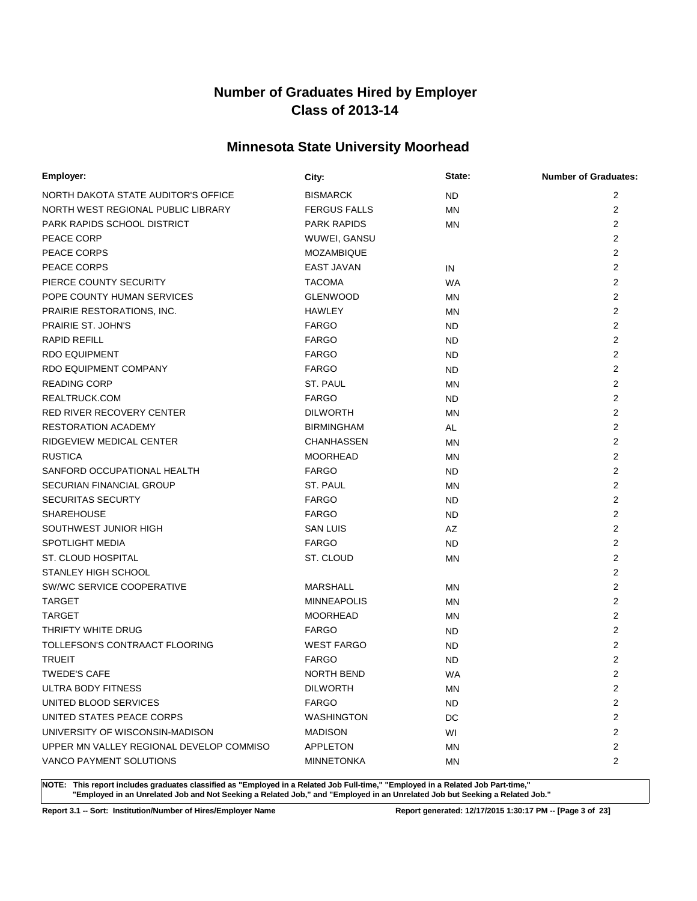# **Minnesota State University Moorhead**

| Employer:                                | City:               | State:    | <b>Number of Graduates:</b> |
|------------------------------------------|---------------------|-----------|-----------------------------|
| NORTH DAKOTA STATE AUDITOR'S OFFICE      | <b>BISMARCK</b>     | ND.       | 2                           |
| NORTH WEST REGIONAL PUBLIC LIBRARY       | <b>FERGUS FALLS</b> | <b>MN</b> | $\overline{2}$              |
| PARK RAPIDS SCHOOL DISTRICT              | <b>PARK RAPIDS</b>  | ΜN        | 2                           |
| PEACE CORP                               | WUWEI, GANSU        |           | $\overline{2}$              |
| PEACE CORPS                              | <b>MOZAMBIQUE</b>   |           | $\overline{2}$              |
| PEACE CORPS                              | <b>EAST JAVAN</b>   | IN        | 2                           |
| PIERCE COUNTY SECURITY                   | <b>TACOMA</b>       | WA        | 2                           |
| POPE COUNTY HUMAN SERVICES               | <b>GLENWOOD</b>     | MN        | 2                           |
| PRAIRIE RESTORATIONS, INC.               | <b>HAWLEY</b>       | ΜN        | 2                           |
| PRAIRIE ST. JOHN'S                       | <b>FARGO</b>        | ND.       | $\overline{2}$              |
| <b>RAPID REFILL</b>                      | <b>FARGO</b>        | ND.       | 2                           |
| <b>RDO EQUIPMENT</b>                     | <b>FARGO</b>        | ND.       | $\overline{2}$              |
| <b>RDO EQUIPMENT COMPANY</b>             | <b>FARGO</b>        | ND.       | 2                           |
| <b>READING CORP</b>                      | ST. PAUL            | <b>MN</b> | $\overline{2}$              |
| REALTRUCK.COM                            | <b>FARGO</b>        | ND.       | 2                           |
| <b>RED RIVER RECOVERY CENTER</b>         | <b>DILWORTH</b>     | <b>MN</b> | 2                           |
| <b>RESTORATION ACADEMY</b>               | <b>BIRMINGHAM</b>   | AL        | $\overline{2}$              |
| RIDGEVIEW MEDICAL CENTER                 | <b>CHANHASSEN</b>   | <b>MN</b> | 2                           |
| <b>RUSTICA</b>                           | <b>MOORHEAD</b>     | ΜN        | $\overline{2}$              |
| SANFORD OCCUPATIONAL HEALTH              | <b>FARGO</b>        | ND.       | 2                           |
| <b>SECURIAN FINANCIAL GROUP</b>          | ST. PAUL            | MN        | 2                           |
| <b>SECURITAS SECURTY</b>                 | <b>FARGO</b>        | ND.       | $\overline{2}$              |
| <b>SHAREHOUSE</b>                        | <b>FARGO</b>        | ND.       | 2                           |
| SOUTHWEST JUNIOR HIGH                    | <b>SAN LUIS</b>     | AZ        | 2                           |
| <b>SPOTLIGHT MEDIA</b>                   | <b>FARGO</b>        | ND.       | $\overline{2}$              |
| ST. CLOUD HOSPITAL                       | ST. CLOUD           | <b>MN</b> | $\overline{2}$              |
| STANLEY HIGH SCHOOL                      |                     |           | $\overline{2}$              |
| SW/WC SERVICE COOPERATIVE                | <b>MARSHALL</b>     | ΜN        | $\overline{2}$              |
| <b>TARGET</b>                            | <b>MINNEAPOLIS</b>  | MN        | $\overline{2}$              |
| <b>TARGET</b>                            | <b>MOORHEAD</b>     | MN        | $\overline{2}$              |
| THRIFTY WHITE DRUG                       | <b>FARGO</b>        | ND.       | 2                           |
| TOLLEFSON'S CONTRAACT FLOORING           | <b>WEST FARGO</b>   | ND.       | $\overline{2}$              |
| <b>TRUEIT</b>                            | <b>FARGO</b>        | <b>ND</b> | 2                           |
| <b>TWEDE'S CAFE</b>                      | NORTH BEND          | WA        | 2                           |
| ULTRA BODY FITNESS                       | <b>DILWORTH</b>     | ΜN        | $\overline{2}$              |
| UNITED BLOOD SERVICES                    | <b>FARGO</b>        | <b>ND</b> | $\overline{c}$              |
| UNITED STATES PEACE CORPS                | <b>WASHINGTON</b>   | DC        | $\overline{c}$              |
| UNIVERSITY OF WISCONSIN-MADISON          | <b>MADISON</b>      | WI        | 2                           |
| UPPER MN VALLEY REGIONAL DEVELOP COMMISO | APPLETON            | ΜN        | $\overline{c}$              |
| VANCO PAYMENT SOLUTIONS                  | <b>MINNETONKA</b>   | ΜN        | $\overline{2}$              |

**NOTE: This report includes graduates classified as "Employed in a Related Job Full-time," "Employed in a Related Job Part-time," "Employed in an Unrelated Job and Not Seeking a Related Job," and "Employed in an Unrelated Job but Seeking a Related Job."**

**Report 3.1 -- Sort: Institution/Number of Hires/Employer Name Report generated: 12/17/2015 1:30:17 PM -- [Page 3 of 23]**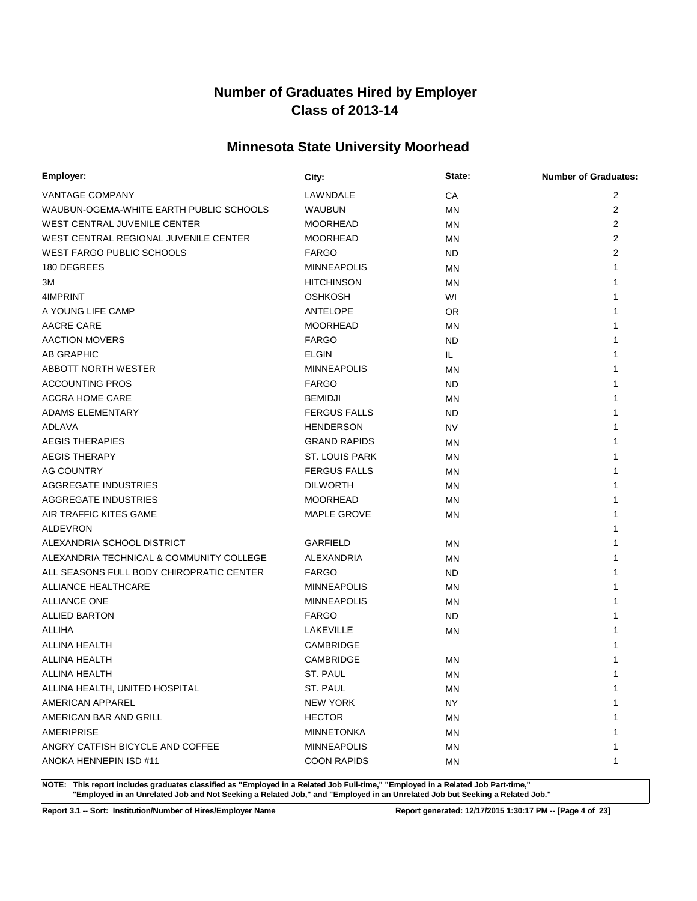# **Minnesota State University Moorhead**

| Employer:                                | City:                 | State:    | <b>Number of Graduates:</b> |
|------------------------------------------|-----------------------|-----------|-----------------------------|
| <b>VANTAGE COMPANY</b>                   | LAWNDALE              | CA        | $\overline{2}$              |
| WAUBUN-OGEMA-WHITE EARTH PUBLIC SCHOOLS  | <b>WAUBUN</b>         | MN        | $\overline{2}$              |
| WEST CENTRAL JUVENILE CENTER             | <b>MOORHEAD</b>       | MN        | $\overline{2}$              |
| WEST CENTRAL REGIONAL JUVENILE CENTER    | <b>MOORHEAD</b>       | MN        | $\overline{2}$              |
| <b>WEST FARGO PUBLIC SCHOOLS</b>         | <b>FARGO</b>          | ND.       | 2                           |
| 180 DEGREES                              | <b>MINNEAPOLIS</b>    | MN        | 1                           |
| ЗM                                       | <b>HITCHINSON</b>     | MN        | 1                           |
| 4IMPRINT                                 | <b>OSHKOSH</b>        | WI        |                             |
| A YOUNG LIFE CAMP                        | <b>ANTELOPE</b>       | 0R        |                             |
| AACRE CARE                               | <b>MOORHEAD</b>       | MN        |                             |
| <b>AACTION MOVERS</b>                    | <b>FARGO</b>          | ND.       |                             |
| AB GRAPHIC                               | <b>ELGIN</b>          | IL.       |                             |
| <b>ABBOTT NORTH WESTER</b>               | <b>MINNEAPOLIS</b>    | <b>MN</b> |                             |
| <b>ACCOUNTING PROS</b>                   | <b>FARGO</b>          | ND        |                             |
| <b>ACCRA HOME CARE</b>                   | <b>BEMIDJI</b>        | MN        |                             |
| <b>ADAMS ELEMENTARY</b>                  | <b>FERGUS FALLS</b>   | ND        |                             |
| ADLAVA                                   | <b>HENDERSON</b>      | <b>NV</b> |                             |
| <b>AEGIS THERAPIES</b>                   | <b>GRAND RAPIDS</b>   | MN        |                             |
| <b>AEGIS THERAPY</b>                     | <b>ST. LOUIS PARK</b> | <b>MN</b> |                             |
| <b>AG COUNTRY</b>                        | <b>FERGUS FALLS</b>   | MN        |                             |
| AGGREGATE INDUSTRIES                     | <b>DILWORTH</b>       | <b>MN</b> |                             |
| AGGREGATE INDUSTRIES                     | <b>MOORHEAD</b>       | ΜN        |                             |
| AIR TRAFFIC KITES GAME                   | <b>MAPLE GROVE</b>    | ΜN        |                             |
| <b>ALDEVRON</b>                          |                       |           |                             |
| ALEXANDRIA SCHOOL DISTRICT               | <b>GARFIELD</b>       | <b>MN</b> |                             |
| ALEXANDRIA TECHNICAL & COMMUNITY COLLEGE | ALEXANDRIA            | MN        |                             |
| ALL SEASONS FULL BODY CHIROPRATIC CENTER | <b>FARGO</b>          | ND.       |                             |
| ALLIANCE HEALTHCARE                      | <b>MINNEAPOLIS</b>    | ΜN        |                             |
| <b>ALLIANCE ONE</b>                      | <b>MINNEAPOLIS</b>    | MN        |                             |
| <b>ALLIED BARTON</b>                     | <b>FARGO</b>          | <b>ND</b> |                             |
| <b>ALLIHA</b>                            | LAKEVILLE             | MN        |                             |
| <b>ALLINA HEALTH</b>                     | CAMBRIDGE             |           |                             |
| <b>ALLINA HEALTH</b>                     | CAMBRIDGE             | ΜN        |                             |
| ALLINA HEALTH                            | ST. PAUL              | ΜN        | 1                           |
| ALLINA HEALTH, UNITED HOSPITAL           | ST. PAUL              | MN        | 1                           |
| AMERICAN APPAREL                         | <b>NEW YORK</b>       | NY.       |                             |
| AMERICAN BAR AND GRILL                   | <b>HECTOR</b>         | <b>MN</b> |                             |
| <b>AMERIPRISE</b>                        | <b>MINNETONKA</b>     | ΜN        |                             |
| ANGRY CATFISH BICYCLE AND COFFEE         | <b>MINNEAPOLIS</b>    | ΜN        |                             |
| ANOKA HENNEPIN ISD #11                   | <b>COON RAPIDS</b>    | ΜN        | 1                           |

**NOTE: This report includes graduates classified as "Employed in a Related Job Full-time," "Employed in a Related Job Part-time," "Employed in an Unrelated Job and Not Seeking a Related Job," and "Employed in an Unrelated Job but Seeking a Related Job."**

**Report 3.1 -- Sort: Institution/Number of Hires/Employer Name Report generated: 12/17/2015 1:30:17 PM -- [Page 4 of 23]**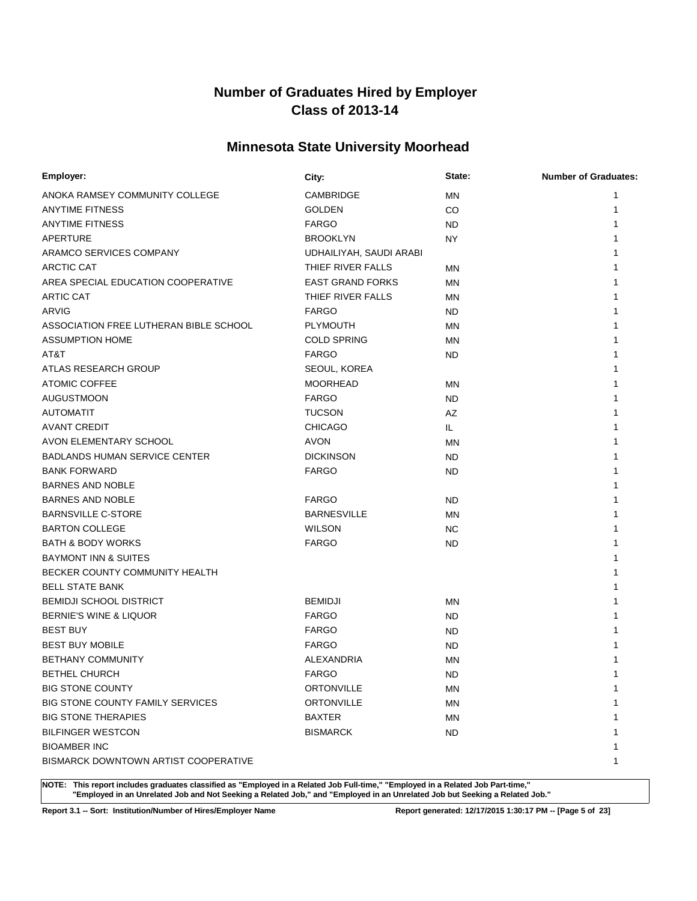# **Minnesota State University Moorhead**

| Employer:                              | City:                   | State:    | <b>Number of Graduates:</b> |
|----------------------------------------|-------------------------|-----------|-----------------------------|
| ANOKA RAMSEY COMMUNITY COLLEGE         | CAMBRIDGE               | ΜN        | 1                           |
| <b>ANYTIME FITNESS</b>                 | <b>GOLDEN</b>           | CO        | 1                           |
| <b>ANYTIME FITNESS</b>                 | <b>FARGO</b>            | ND.       | 1                           |
| APERTURE                               | <b>BROOKLYN</b>         | NY        |                             |
| ARAMCO SERVICES COMPANY                | UDHAILIYAH, SAUDI ARABI |           |                             |
| <b>ARCTIC CAT</b>                      | THIEF RIVER FALLS       | ΜN        |                             |
| AREA SPECIAL EDUCATION COOPERATIVE     | <b>EAST GRAND FORKS</b> | ΜN        |                             |
| <b>ARTIC CAT</b>                       | THIEF RIVER FALLS       | MN        |                             |
| <b>ARVIG</b>                           | <b>FARGO</b>            | ND.       |                             |
| ASSOCIATION FREE LUTHERAN BIBLE SCHOOL | <b>PLYMOUTH</b>         | MN        |                             |
| <b>ASSUMPTION HOME</b>                 | <b>COLD SPRING</b>      | <b>MN</b> |                             |
| AT&T                                   | <b>FARGO</b>            | ND.       |                             |
| ATLAS RESEARCH GROUP                   | SEOUL, KOREA            |           |                             |
| <b>ATOMIC COFFEE</b>                   | <b>MOORHEAD</b>         | ΜN        |                             |
| <b>AUGUSTMOON</b>                      | <b>FARGO</b>            | ND.       |                             |
| <b>AUTOMATIT</b>                       | <b>TUCSON</b>           | AZ        |                             |
| <b>AVANT CREDIT</b>                    | <b>CHICAGO</b>          | IL.       |                             |
| AVON ELEMENTARY SCHOOL                 | <b>AVON</b>             | ΜN        |                             |
| <b>BADLANDS HUMAN SERVICE CENTER</b>   | <b>DICKINSON</b>        | ND.       |                             |
| <b>BANK FORWARD</b>                    | <b>FARGO</b>            | ND.       |                             |
| <b>BARNES AND NOBLE</b>                |                         |           |                             |
| <b>BARNES AND NOBLE</b>                | <b>FARGO</b>            | ND.       |                             |
| <b>BARNSVILLE C-STORE</b>              | <b>BARNESVILLE</b>      | ΜN        |                             |
| <b>BARTON COLLEGE</b>                  | <b>WILSON</b>           | NC.       |                             |
| <b>BATH &amp; BODY WORKS</b>           | <b>FARGO</b>            | ND.       |                             |
| <b>BAYMONT INN &amp; SUITES</b>        |                         |           |                             |
| BECKER COUNTY COMMUNITY HEALTH         |                         |           |                             |
| <b>BELL STATE BANK</b>                 |                         |           |                             |
| <b>BEMIDJI SCHOOL DISTRICT</b>         | <b>BEMIDJI</b>          | ΜN        |                             |
| <b>BERNIE'S WINE &amp; LIQUOR</b>      | <b>FARGO</b>            | <b>ND</b> |                             |
| <b>BEST BUY</b>                        | <b>FARGO</b>            | ND.       |                             |
| <b>BEST BUY MOBILE</b>                 | <b>FARGO</b>            | <b>ND</b> |                             |
| <b>BETHANY COMMUNITY</b>               | ALEXANDRIA              | ΜN        |                             |
| <b>BETHEL CHURCH</b>                   | <b>FARGO</b>            | <b>ND</b> | 1                           |
| <b>BIG STONE COUNTY</b>                | <b>ORTONVILLE</b>       | ΜN        | 1                           |
| BIG STONE COUNTY FAMILY SERVICES       | <b>ORTONVILLE</b>       | ΜN        |                             |
| <b>BIG STONE THERAPIES</b>             | <b>BAXTER</b>           | ΜN        |                             |
| <b>BILFINGER WESTCON</b>               | <b>BISMARCK</b>         | ND.       |                             |
| <b>BIOAMBER INC</b>                    |                         |           |                             |
| BISMARCK DOWNTOWN ARTIST COOPERATIVE   |                         |           | 1                           |

**NOTE: This report includes graduates classified as "Employed in a Related Job Full-time," "Employed in a Related Job Part-time," "Employed in an Unrelated Job and Not Seeking a Related Job," and "Employed in an Unrelated Job but Seeking a Related Job."**

**Report 3.1 -- Sort: Institution/Number of Hires/Employer Name Report generated: 12/17/2015 1:30:17 PM -- [Page 5 of 23]**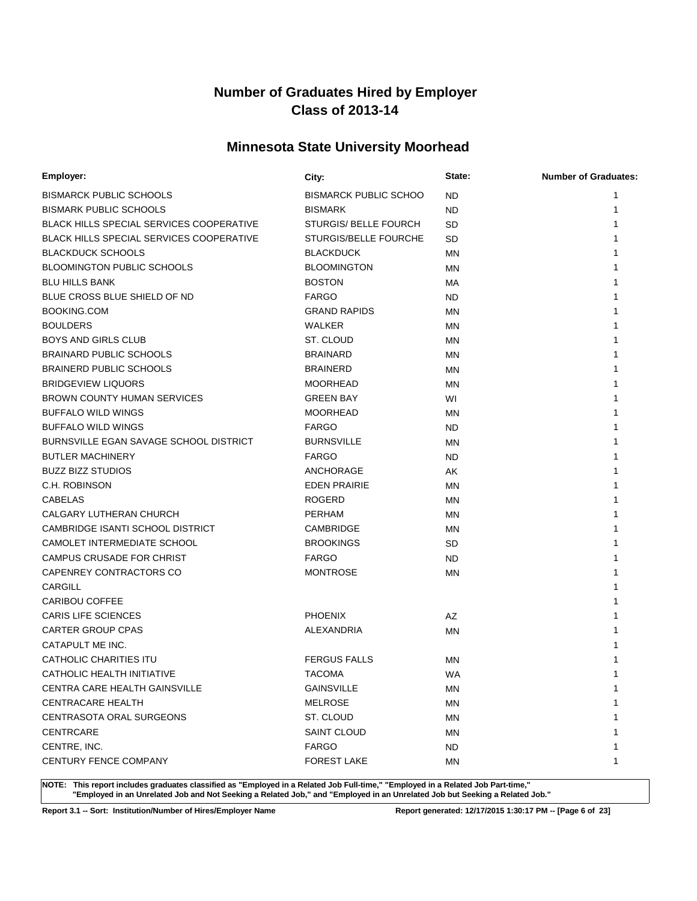# **Minnesota State University Moorhead**

| Employer:                                       | City:                        | State:    | <b>Number of Graduates:</b> |
|-------------------------------------------------|------------------------------|-----------|-----------------------------|
| <b>BISMARCK PUBLIC SCHOOLS</b>                  | <b>BISMARCK PUBLIC SCHOO</b> | <b>ND</b> | 1                           |
| <b>BISMARK PUBLIC SCHOOLS</b>                   | <b>BISMARK</b>               | <b>ND</b> | 1                           |
| <b>BLACK HILLS SPECIAL SERVICES COOPERATIVE</b> | <b>STURGIS/ BELLE FOURCH</b> | SD        |                             |
| <b>BLACK HILLS SPECIAL SERVICES COOPERATIVE</b> | <b>STURGIS/BELLE FOURCHE</b> | SD        |                             |
| <b>BLACKDUCK SCHOOLS</b>                        | <b>BLACKDUCK</b>             | ΜN        |                             |
| <b>BLOOMINGTON PUBLIC SCHOOLS</b>               | <b>BLOOMINGTON</b>           | ΜN        |                             |
| <b>BLU HILLS BANK</b>                           | <b>BOSTON</b>                | МA        |                             |
| BLUE CROSS BLUE SHIELD OF ND                    | <b>FARGO</b>                 | ND.       |                             |
| <b>BOOKING.COM</b>                              | <b>GRAND RAPIDS</b>          | <b>MN</b> |                             |
| <b>BOULDERS</b>                                 | <b>WALKER</b>                | <b>MN</b> |                             |
| <b>BOYS AND GIRLS CLUB</b>                      | ST. CLOUD                    | ΜN        |                             |
| <b>BRAINARD PUBLIC SCHOOLS</b>                  | <b>BRAINARD</b>              | MN        |                             |
| <b>BRAINERD PUBLIC SCHOOLS</b>                  | <b>BRAINERD</b>              | <b>MN</b> |                             |
| <b>BRIDGEVIEW LIQUORS</b>                       | <b>MOORHEAD</b>              | MN        |                             |
| <b>BROWN COUNTY HUMAN SERVICES</b>              | <b>GREEN BAY</b>             | WI        |                             |
| <b>BUFFALO WILD WINGS</b>                       | <b>MOORHEAD</b>              | ΜN        |                             |
| <b>BUFFALO WILD WINGS</b>                       | <b>FARGO</b>                 | ND        |                             |
| <b>BURNSVILLE EGAN SAVAGE SCHOOL DISTRICT</b>   | <b>BURNSVILLE</b>            | MN        |                             |
| <b>BUTLER MACHINERY</b>                         | <b>FARGO</b>                 | <b>ND</b> |                             |
| <b>BUZZ BIZZ STUDIOS</b>                        | ANCHORAGE                    | AK        |                             |
| C.H. ROBINSON                                   | <b>EDEN PRAIRIE</b>          | <b>MN</b> |                             |
| <b>CABELAS</b>                                  | <b>ROGERD</b>                | MN        |                             |
| CALGARY LUTHERAN CHURCH                         | <b>PERHAM</b>                | MN        |                             |
| CAMBRIDGE ISANTI SCHOOL DISTRICT                | CAMBRIDGE                    | <b>MN</b> |                             |
| CAMOLET INTERMEDIATE SCHOOL                     | <b>BROOKINGS</b>             | SD        |                             |
| CAMPUS CRUSADE FOR CHRIST                       | <b>FARGO</b>                 | <b>ND</b> |                             |
| CAPENREY CONTRACTORS CO                         | <b>MONTROSE</b>              | MN        |                             |
| <b>CARGILL</b>                                  |                              |           |                             |
| <b>CARIBOU COFFEE</b>                           |                              |           |                             |
| <b>CARIS LIFE SCIENCES</b>                      | <b>PHOENIX</b>               | AZ        |                             |
| <b>CARTER GROUP CPAS</b>                        | ALEXANDRIA                   | MN        |                             |
| CATAPULT ME INC.                                |                              |           |                             |
| <b>CATHOLIC CHARITIES ITU</b>                   | <b>FERGUS FALLS</b>          | MN        |                             |
| CATHOLIC HEALTH INITIATIVE                      | <b>TACOMA</b>                | WA        | 1                           |
| CENTRA CARE HEALTH GAINSVILLE                   | <b>GAINSVILLE</b>            | ΜN        | 1                           |
| <b>CENTRACARE HEALTH</b>                        | <b>MELROSE</b>               | ΜN        |                             |
| CENTRASOTA ORAL SURGEONS                        | ST. CLOUD                    | <b>MN</b> |                             |
| <b>CENTRCARE</b>                                | <b>SAINT CLOUD</b>           | ΜN        |                             |
| CENTRE, INC.                                    | <b>FARGO</b>                 | ND.       |                             |
| CENTURY FENCE COMPANY                           | <b>FOREST LAKE</b>           | ΜN        | 1                           |

**NOTE: This report includes graduates classified as "Employed in a Related Job Full-time," "Employed in a Related Job Part-time," "Employed in an Unrelated Job and Not Seeking a Related Job," and "Employed in an Unrelated Job but Seeking a Related Job."**

**Report 3.1 -- Sort: Institution/Number of Hires/Employer Name Report generated: 12/17/2015 1:30:17 PM -- [Page 6 of 23]**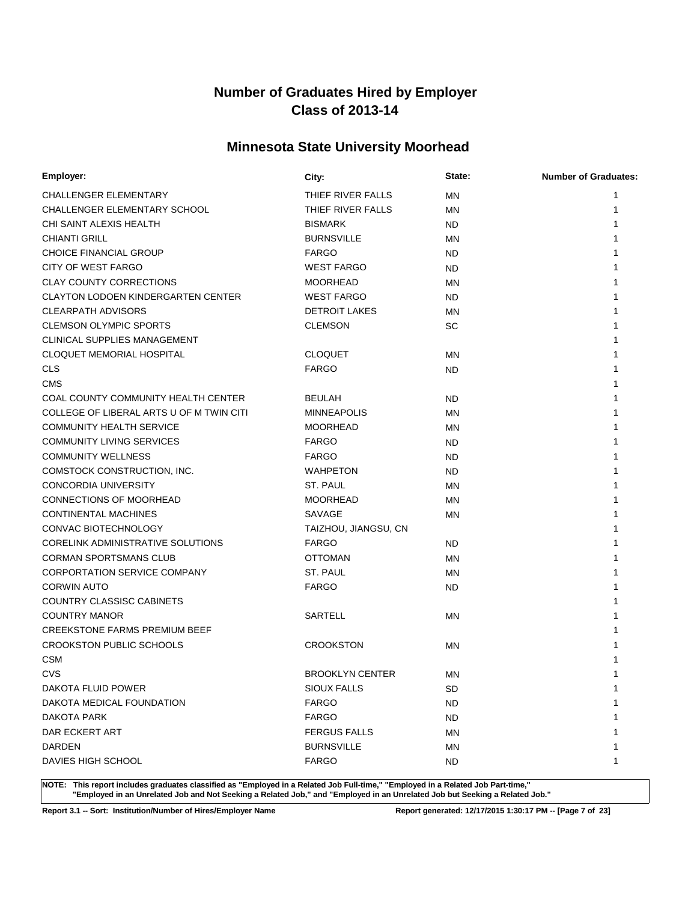# **Minnesota State University Moorhead**

| Employer:                                 | City:                  | State:    | <b>Number of Graduates:</b> |
|-------------------------------------------|------------------------|-----------|-----------------------------|
| CHALLENGER ELEMENTARY                     | THIEF RIVER FALLS      | ΜN        | 1                           |
| CHALLENGER ELEMENTARY SCHOOL              | THIEF RIVER FALLS      | <b>MN</b> | 1                           |
| CHI SAINT ALEXIS HEALTH                   | <b>BISMARK</b>         | ND        |                             |
| <b>CHIANTI GRILL</b>                      | <b>BURNSVILLE</b>      | ΜN        |                             |
| <b>CHOICE FINANCIAL GROUP</b>             | <b>FARGO</b>           | ND        |                             |
| CITY OF WEST FARGO                        | <b>WEST FARGO</b>      | ND        |                             |
| <b>CLAY COUNTY CORRECTIONS</b>            | <b>MOORHEAD</b>        | ΜN        |                             |
| <b>CLAYTON LODOEN KINDERGARTEN CENTER</b> | <b>WEST FARGO</b>      | ND        |                             |
| <b>CLEARPATH ADVISORS</b>                 | <b>DETROIT LAKES</b>   | ΜN        |                             |
| <b>CLEMSON OLYMPIC SPORTS</b>             | <b>CLEMSON</b>         | <b>SC</b> |                             |
| CLINICAL SUPPLIES MANAGEMENT              |                        |           |                             |
| <b>CLOQUET MEMORIAL HOSPITAL</b>          | <b>CLOQUET</b>         | ΜN        |                             |
| <b>CLS</b>                                | <b>FARGO</b>           | <b>ND</b> |                             |
| <b>CMS</b>                                |                        |           |                             |
| COAL COUNTY COMMUNITY HEALTH CENTER       | <b>BEULAH</b>          | ND        |                             |
| COLLEGE OF LIBERAL ARTS U OF M TWIN CITI  | <b>MINNEAPOLIS</b>     | ΜN        |                             |
| <b>COMMUNITY HEALTH SERVICE</b>           | <b>MOORHEAD</b>        | ΜN        |                             |
| <b>COMMUNITY LIVING SERVICES</b>          | <b>FARGO</b>           | ND        |                             |
| <b>COMMUNITY WELLNESS</b>                 | <b>FARGO</b>           | ND        |                             |
| COMSTOCK CONSTRUCTION, INC.               | <b>WAHPETON</b>        | ND        |                             |
| <b>CONCORDIA UNIVERSITY</b>               | ST. PAUL               | ΜN        |                             |
| CONNECTIONS OF MOORHEAD                   | <b>MOORHEAD</b>        | ΜN        |                             |
| CONTINENTAL MACHINES                      | SAVAGE                 | ΜN        |                             |
| CONVAC BIOTECHNOLOGY                      | TAIZHOU, JIANGSU, CN   |           |                             |
| CORELINK ADMINISTRATIVE SOLUTIONS         | <b>FARGO</b>           | ND        |                             |
| <b>CORMAN SPORTSMANS CLUB</b>             | <b>OTTOMAN</b>         | <b>MN</b> |                             |
| <b>CORPORTATION SERVICE COMPANY</b>       | ST. PAUL               | <b>MN</b> |                             |
| <b>CORWIN AUTO</b>                        | <b>FARGO</b>           | ND        |                             |
| COUNTRY CLASSISC CABINETS                 |                        |           |                             |
| <b>COUNTRY MANOR</b>                      | <b>SARTELL</b>         | ΜN        |                             |
| <b>CREEKSTONE FARMS PREMIUM BEEF</b>      |                        |           |                             |
| <b>CROOKSTON PUBLIC SCHOOLS</b>           | <b>CROOKSTON</b>       | ΜN        |                             |
| <b>CSM</b>                                |                        |           |                             |
| <b>CVS</b>                                | <b>BROOKLYN CENTER</b> | ΜN        |                             |
| DAKOTA FLUID POWER                        | SIOUX FALLS            | SD        | 1                           |
| DAKOTA MEDICAL FOUNDATION                 | <b>FARGO</b>           | <b>ND</b> |                             |
| <b>DAKOTA PARK</b>                        | <b>FARGO</b>           | ND.       |                             |
| DAR ECKERT ART                            | <b>FERGUS FALLS</b>    | ΜN        |                             |
| DARDEN                                    | <b>BURNSVILLE</b>      | ΜN        |                             |
| <b>DAVIES HIGH SCHOOL</b>                 | <b>FARGO</b>           | <b>ND</b> |                             |

**NOTE: This report includes graduates classified as "Employed in a Related Job Full-time," "Employed in a Related Job Part-time," "Employed in an Unrelated Job and Not Seeking a Related Job," and "Employed in an Unrelated Job but Seeking a Related Job."**

**Report 3.1 -- Sort: Institution/Number of Hires/Employer Name Report generated: 12/17/2015 1:30:17 PM -- [Page 7 of 23]**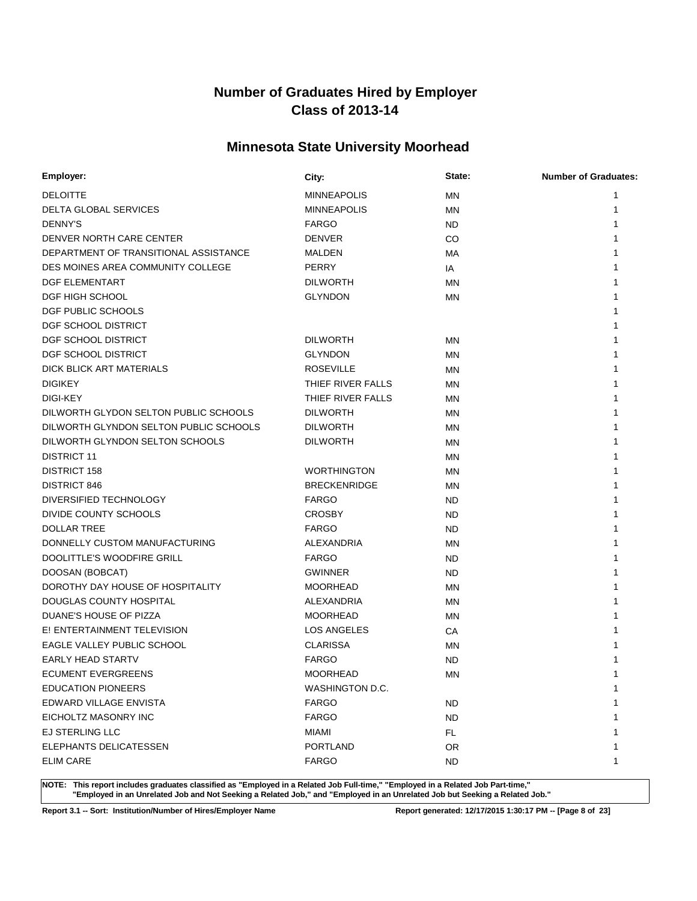# **Minnesota State University Moorhead**

| Employer:                              | City:               | State:    | <b>Number of Graduates:</b> |
|----------------------------------------|---------------------|-----------|-----------------------------|
| <b>DELOITTE</b>                        | <b>MINNEAPOLIS</b>  | MN        | 1                           |
| <b>DELTA GLOBAL SERVICES</b>           | <b>MINNEAPOLIS</b>  | <b>MN</b> | 1                           |
| <b>DENNY'S</b>                         | <b>FARGO</b>        | ND        |                             |
| DENVER NORTH CARE CENTER               | <b>DENVER</b>       | CO        |                             |
| DEPARTMENT OF TRANSITIONAL ASSISTANCE  | MALDEN              | МA        |                             |
| DES MOINES AREA COMMUNITY COLLEGE      | PERRY               | IA        |                             |
| DGF ELEMENTART                         | <b>DILWORTH</b>     | MN        |                             |
| DGF HIGH SCHOOL                        | <b>GLYNDON</b>      | MN        |                             |
| DGF PUBLIC SCHOOLS                     |                     |           |                             |
| DGF SCHOOL DISTRICT                    |                     |           |                             |
| DGF SCHOOL DISTRICT                    | <b>DILWORTH</b>     | MN        |                             |
| DGF SCHOOL DISTRICT                    | <b>GLYNDON</b>      | <b>MN</b> |                             |
| DICK BLICK ART MATERIALS               | <b>ROSEVILLE</b>    | MN        |                             |
| <b>DIGIKEY</b>                         | THIEF RIVER FALLS   | <b>MN</b> |                             |
| DIGI-KEY                               | THIEF RIVER FALLS   | MN        |                             |
| DILWORTH GLYDON SELTON PUBLIC SCHOOLS  | <b>DILWORTH</b>     | <b>MN</b> |                             |
| DILWORTH GLYNDON SELTON PUBLIC SCHOOLS | <b>DILWORTH</b>     | MN        |                             |
| DILWORTH GLYNDON SELTON SCHOOLS        | <b>DILWORTH</b>     | <b>MN</b> |                             |
| <b>DISTRICT 11</b>                     |                     | MN        |                             |
| <b>DISTRICT 158</b>                    | <b>WORTHINGTON</b>  | <b>MN</b> |                             |
| DISTRICT 846                           | <b>BRECKENRIDGE</b> | <b>MN</b> |                             |
| DIVERSIFIED TECHNOLOGY                 | <b>FARGO</b>        | ND        |                             |
| DIVIDE COUNTY SCHOOLS                  | <b>CROSBY</b>       | ND        |                             |
| <b>DOLLAR TREE</b>                     | <b>FARGO</b>        | ND        |                             |
| DONNELLY CUSTOM MANUFACTURING          | ALEXANDRIA          | <b>MN</b> |                             |
| DOOLITTLE'S WOODFIRE GRILL             | <b>FARGO</b>        | ND        |                             |
| DOOSAN (BOBCAT)                        | <b>GWINNER</b>      | ND.       |                             |
| DOROTHY DAY HOUSE OF HOSPITALITY       | <b>MOORHEAD</b>     | MN        |                             |
| DOUGLAS COUNTY HOSPITAL                | ALEXANDRIA          | MN        |                             |
| DUANE'S HOUSE OF PIZZA                 | <b>MOORHEAD</b>     | MN        |                             |
| E! ENTERTAINMENT TELEVISION            | LOS ANGELES         | СA        |                             |
| EAGLE VALLEY PUBLIC SCHOOL             | <b>CLARISSA</b>     | <b>MN</b> |                             |
| <b>EARLY HEAD STARTV</b>               | <b>FARGO</b>        | <b>ND</b> |                             |
| <b>ECUMENT EVERGREENS</b>              | <b>MOORHEAD</b>     | <b>MN</b> | 1                           |
| <b>EDUCATION PIONEERS</b>              | WASHINGTON D.C.     |           | 1                           |
| EDWARD VILLAGE ENVISTA                 | <b>FARGO</b>        | <b>ND</b> |                             |
| EICHOLTZ MASONRY INC                   | <b>FARGO</b>        | ND.       |                             |
| <b>EJ STERLING LLC</b>                 | MIAMI               | FL.       |                             |
| ELEPHANTS DELICATESSEN                 | <b>PORTLAND</b>     | OR.       |                             |
| <b>ELIM CARE</b>                       | <b>FARGO</b>        | ND.       | 1                           |

**NOTE: This report includes graduates classified as "Employed in a Related Job Full-time," "Employed in a Related Job Part-time," "Employed in an Unrelated Job and Not Seeking a Related Job," and "Employed in an Unrelated Job but Seeking a Related Job."**

**Report 3.1 -- Sort: Institution/Number of Hires/Employer Name Report generated: 12/17/2015 1:30:17 PM -- [Page 8 of 23]**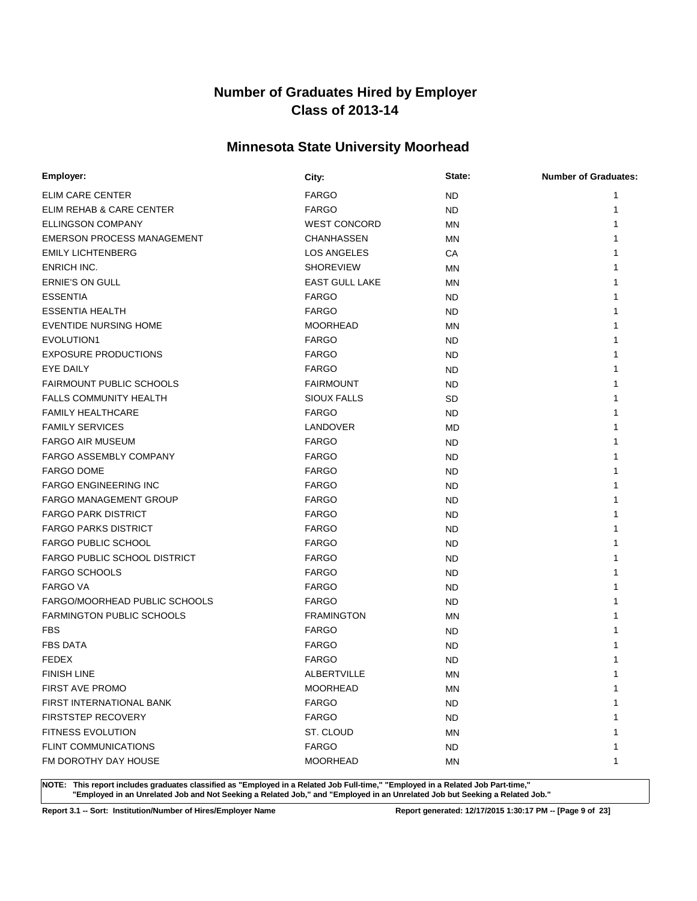# **Minnesota State University Moorhead**

| Employer:                           | City:                 | State:    | <b>Number of Graduates:</b> |
|-------------------------------------|-----------------------|-----------|-----------------------------|
| ELIM CARE CENTER                    | <b>FARGO</b>          | ND.       |                             |
| ELIM REHAB & CARE CENTER            | <b>FARGO</b>          | <b>ND</b> | 1                           |
| <b>ELLINGSON COMPANY</b>            | <b>WEST CONCORD</b>   | <b>MN</b> |                             |
| <b>EMERSON PROCESS MANAGEMENT</b>   | <b>CHANHASSEN</b>     | ΜN        |                             |
| <b>EMILY LICHTENBERG</b>            | <b>LOS ANGELES</b>    | СA        |                             |
| ENRICH INC.                         | <b>SHOREVIEW</b>      | ΜN        |                             |
| ERNIE'S ON GULL                     | <b>EAST GULL LAKE</b> | ΜN        |                             |
| <b>ESSENTIA</b>                     | <b>FARGO</b>          | ND.       |                             |
| <b>ESSENTIA HEALTH</b>              | <b>FARGO</b>          | ND.       |                             |
| <b>EVENTIDE NURSING HOME</b>        | <b>MOORHEAD</b>       | MN        |                             |
| EVOLUTION1                          | <b>FARGO</b>          | ND.       |                             |
| <b>EXPOSURE PRODUCTIONS</b>         | <b>FARGO</b>          | ND.       |                             |
| EYE DAILY                           | <b>FARGO</b>          | ND.       |                             |
| <b>FAIRMOUNT PUBLIC SCHOOLS</b>     | <b>FAIRMOUNT</b>      | ND.       |                             |
| <b>FALLS COMMUNITY HEALTH</b>       | <b>SIOUX FALLS</b>    | SD        |                             |
| <b>FAMILY HEALTHCARE</b>            | <b>FARGO</b>          | ND.       |                             |
| <b>FAMILY SERVICES</b>              | LANDOVER              | MD        |                             |
| <b>FARGO AIR MUSEUM</b>             | <b>FARGO</b>          | <b>ND</b> |                             |
| <b>FARGO ASSEMBLY COMPANY</b>       | <b>FARGO</b>          | <b>ND</b> |                             |
| <b>FARGO DOME</b>                   | <b>FARGO</b>          | ND.       |                             |
| <b>FARGO ENGINEERING INC</b>        | <b>FARGO</b>          | ND.       |                             |
| <b>FARGO MANAGEMENT GROUP</b>       | <b>FARGO</b>          | ND.       |                             |
| <b>FARGO PARK DISTRICT</b>          | <b>FARGO</b>          | ND.       |                             |
| <b>FARGO PARKS DISTRICT</b>         | <b>FARGO</b>          | ND.       |                             |
| <b>FARGO PUBLIC SCHOOL</b>          | <b>FARGO</b>          | ND.       |                             |
| <b>FARGO PUBLIC SCHOOL DISTRICT</b> | <b>FARGO</b>          | ND.       |                             |
| <b>FARGO SCHOOLS</b>                | <b>FARGO</b>          | ND.       |                             |
| <b>FARGO VA</b>                     | <b>FARGO</b>          | ND.       |                             |
| FARGO/MOORHEAD PUBLIC SCHOOLS       | <b>FARGO</b>          | ND.       |                             |
| FARMINGTON PUBLIC SCHOOLS           | <b>FRAMINGTON</b>     | ΜN        |                             |
| <b>FBS</b>                          | <b>FARGO</b>          | ND.       |                             |
| <b>FBS DATA</b>                     | <b>FARGO</b>          | <b>ND</b> |                             |
| <b>FEDEX</b>                        | <b>FARGO</b>          | <b>ND</b> |                             |
| <b>FINISH LINE</b>                  | <b>ALBERTVILLE</b>    | ΜN        | 1                           |
| <b>FIRST AVE PROMO</b>              | <b>MOORHEAD</b>       | MN        | 1                           |
| FIRST INTERNATIONAL BANK            | <b>FARGO</b>          | ND.       |                             |
| <b>FIRSTSTEP RECOVERY</b>           | <b>FARGO</b>          | ND.       |                             |
| <b>FITNESS EVOLUTION</b>            | ST. CLOUD             | MN        |                             |
| <b>FLINT COMMUNICATIONS</b>         | <b>FARGO</b>          | <b>ND</b> | 1                           |
| FM DOROTHY DAY HOUSE                | <b>MOORHEAD</b>       | ΜN        | 1                           |

**NOTE: This report includes graduates classified as "Employed in a Related Job Full-time," "Employed in a Related Job Part-time," "Employed in an Unrelated Job and Not Seeking a Related Job," and "Employed in an Unrelated Job but Seeking a Related Job."**

**Report 3.1 -- Sort: Institution/Number of Hires/Employer Name Report generated: 12/17/2015 1:30:17 PM -- [Page 9 of 23]**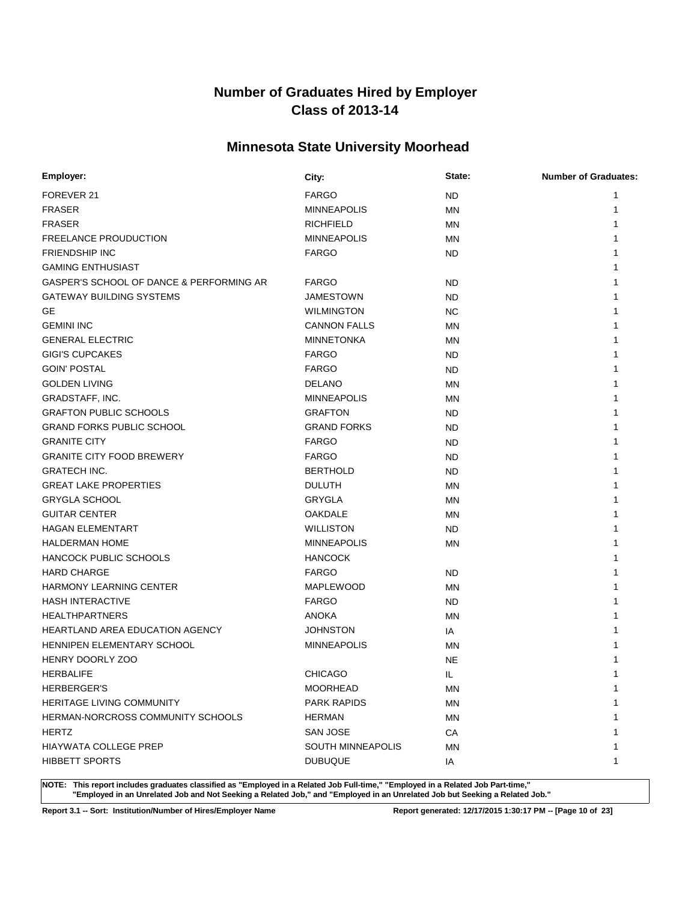# **Minnesota State University Moorhead**

| Employer:                                | City:                    | State:    | <b>Number of Graduates:</b> |
|------------------------------------------|--------------------------|-----------|-----------------------------|
| FOREVER 21                               | <b>FARGO</b>             | <b>ND</b> |                             |
| <b>FRASER</b>                            | <b>MINNEAPOLIS</b>       | <b>MN</b> | 1                           |
| <b>FRASER</b>                            | <b>RICHFIELD</b>         | <b>MN</b> |                             |
| <b>FREELANCE PROUDUCTION</b>             | <b>MINNEAPOLIS</b>       | <b>MN</b> |                             |
| <b>FRIENDSHIP INC</b>                    | <b>FARGO</b>             | ND.       |                             |
| <b>GAMING ENTHUSIAST</b>                 |                          |           |                             |
| GASPER'S SCHOOL OF DANCE & PERFORMING AR | <b>FARGO</b>             | ND        |                             |
| <b>GATEWAY BUILDING SYSTEMS</b>          | <b>JAMESTOWN</b>         | ND.       |                             |
| <b>GE</b>                                | <b>WILMINGTON</b>        | NC.       |                             |
| <b>GEMINI INC</b>                        | <b>CANNON FALLS</b>      | MN        |                             |
| <b>GENERAL ELECTRIC</b>                  | <b>MINNETONKA</b>        | MN        |                             |
| <b>GIGI'S CUPCAKES</b>                   | <b>FARGO</b>             | ND.       |                             |
| <b>GOIN' POSTAL</b>                      | <b>FARGO</b>             | ND        |                             |
| <b>GOLDEN LIVING</b>                     | <b>DELANO</b>            | MN        |                             |
| GRADSTAFF, INC.                          | <b>MINNEAPOLIS</b>       | MN        |                             |
| <b>GRAFTON PUBLIC SCHOOLS</b>            | <b>GRAFTON</b>           | ND        |                             |
| <b>GRAND FORKS PUBLIC SCHOOL</b>         | <b>GRAND FORKS</b>       | ND        |                             |
| <b>GRANITE CITY</b>                      | <b>FARGO</b>             | <b>ND</b> |                             |
| <b>GRANITE CITY FOOD BREWERY</b>         | <b>FARGO</b>             | <b>ND</b> |                             |
| <b>GRATECH INC.</b>                      | <b>BERTHOLD</b>          | ND        |                             |
| <b>GREAT LAKE PROPERTIES</b>             | <b>DULUTH</b>            | <b>MN</b> |                             |
| <b>GRYGLA SCHOOL</b>                     | GRYGLA                   | MN        |                             |
| <b>GUITAR CENTER</b>                     | <b>OAKDALE</b>           | <b>MN</b> |                             |
| <b>HAGAN ELEMENTART</b>                  | <b>WILLISTON</b>         | ND.       |                             |
| <b>HALDERMAN HOME</b>                    | <b>MINNEAPOLIS</b>       | <b>MN</b> |                             |
| HANCOCK PUBLIC SCHOOLS                   | <b>HANCOCK</b>           |           |                             |
| <b>HARD CHARGE</b>                       | <b>FARGO</b>             | ND        |                             |
| <b>HARMONY LEARNING CENTER</b>           | <b>MAPLEWOOD</b>         | MN        |                             |
| <b>HASH INTERACTIVE</b>                  | <b>FARGO</b>             | ND.       |                             |
| <b>HEALTHPARTNERS</b>                    | <b>ANOKA</b>             | ΜN        |                             |
| <b>HEARTLAND AREA EDUCATION AGENCY</b>   | <b>JOHNSTON</b>          | IA        |                             |
| HENNIPEN ELEMENTARY SCHOOL               | <b>MINNEAPOLIS</b>       | <b>MN</b> |                             |
| <b>HENRY DOORLY ZOO</b>                  |                          | <b>NE</b> |                             |
| <b>HERBALIFE</b>                         | <b>CHICAGO</b>           | IL        | 1                           |
| <b>HERBERGER'S</b>                       | <b>MOORHEAD</b>          | ΜN        | 1                           |
| <b>HERITAGE LIVING COMMUNITY</b>         | <b>PARK RAPIDS</b>       | ΜN        |                             |
| HERMAN-NORCROSS COMMUNITY SCHOOLS        | <b>HERMAN</b>            | <b>MN</b> |                             |
| <b>HERTZ</b>                             | <b>SAN JOSE</b>          | СA        |                             |
| <b>HIAYWATA COLLEGE PREP</b>             | <b>SOUTH MINNEAPOLIS</b> | MN        |                             |
| <b>HIBBETT SPORTS</b>                    | <b>DUBUQUE</b>           | IA        | 1                           |

**NOTE: This report includes graduates classified as "Employed in a Related Job Full-time," "Employed in a Related Job Part-time," "Employed in an Unrelated Job and Not Seeking a Related Job," and "Employed in an Unrelated Job but Seeking a Related Job."**

**Report 3.1 -- Sort: Institution/Number of Hires/Employer Name Report generated: 12/17/2015 1:30:17 PM -- [Page 10 of 23]**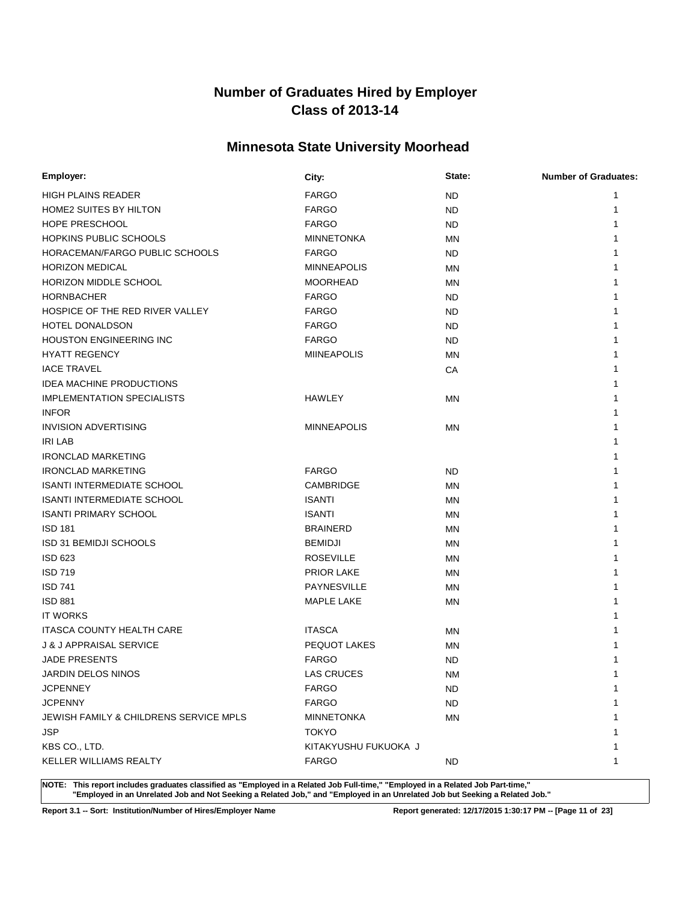# **Minnesota State University Moorhead**

| Employer:                              | City:                | State:    | <b>Number of Graduates:</b> |
|----------------------------------------|----------------------|-----------|-----------------------------|
| <b>HIGH PLAINS READER</b>              | <b>FARGO</b>         | ND.       | 1                           |
| <b>HOME2 SUITES BY HILTON</b>          | <b>FARGO</b>         | <b>ND</b> | 1                           |
| HOPE PRESCHOOL                         | <b>FARGO</b>         | ND.       | 1                           |
| <b>HOPKINS PUBLIC SCHOOLS</b>          | <b>MINNETONKA</b>    | MN        |                             |
| HORACEMAN/FARGO PUBLIC SCHOOLS         | <b>FARGO</b>         | ND.       |                             |
| <b>HORIZON MEDICAL</b>                 | <b>MINNEAPOLIS</b>   | ΜN        |                             |
| HORIZON MIDDLE SCHOOL                  | <b>MOORHEAD</b>      | ΜN        |                             |
| <b>HORNBACHER</b>                      | <b>FARGO</b>         | ND.       |                             |
| HOSPICE OF THE RED RIVER VALLEY        | <b>FARGO</b>         | ND.       |                             |
| HOTEL DONALDSON                        | <b>FARGO</b>         | <b>ND</b> |                             |
| <b>HOUSTON ENGINEERING INC</b>         | <b>FARGO</b>         | ND.       |                             |
| <b>HYATT REGENCY</b>                   | <b>MIINEAPOLIS</b>   | MN        |                             |
| <b>IACE TRAVEL</b>                     |                      | CA        |                             |
| <b>IDEA MACHINE PRODUCTIONS</b>        |                      |           |                             |
| <b>IMPLEMENTATION SPECIALISTS</b>      | <b>HAWLEY</b>        | ΜN        |                             |
| <b>INFOR</b>                           |                      |           |                             |
| <b>INVISION ADVERTISING</b>            | <b>MINNEAPOLIS</b>   | MN        |                             |
| <b>IRI LAB</b>                         |                      |           |                             |
| <b>IRONCLAD MARKETING</b>              |                      |           |                             |
| <b>IRONCLAD MARKETING</b>              | <b>FARGO</b>         | ND.       |                             |
| <b>ISANTI INTERMEDIATE SCHOOL</b>      | CAMBRIDGE            | MN        |                             |
| <b>ISANTI INTERMEDIATE SCHOOL</b>      | <b>ISANTI</b>        | ΜN        |                             |
| <b>ISANTI PRIMARY SCHOOL</b>           | <b>ISANTI</b>        | ΜN        |                             |
| <b>ISD 181</b>                         | <b>BRAINERD</b>      | MN        |                             |
| <b>ISD 31 BEMIDJI SCHOOLS</b>          | <b>BEMIDJI</b>       | MN        |                             |
| <b>ISD 623</b>                         | <b>ROSEVILLE</b>     | <b>MN</b> |                             |
| <b>ISD 719</b>                         | <b>PRIOR LAKE</b>    | ΜN        |                             |
| <b>ISD 741</b>                         | PAYNESVILLE          | MN        |                             |
| <b>ISD 881</b>                         | <b>MAPLE LAKE</b>    | MN        |                             |
| <b>IT WORKS</b>                        |                      |           |                             |
| <b>ITASCA COUNTY HEALTH CARE</b>       | <b>ITASCA</b>        | ΜN        |                             |
| <b>J &amp; J APPRAISAL SERVICE</b>     | PEQUOT LAKES         | MN        |                             |
| <b>JADE PRESENTS</b>                   | <b>FARGO</b>         | <b>ND</b> |                             |
| JARDIN DELOS NINOS                     | <b>LAS CRUCES</b>    | <b>NM</b> | 1                           |
| <b>JCPENNEY</b>                        | <b>FARGO</b>         | ND.       | 1                           |
| <b>JCPENNY</b>                         | <b>FARGO</b>         | <b>ND</b> |                             |
| JEWISH FAMILY & CHILDRENS SERVICE MPLS | <b>MINNETONKA</b>    | <b>MN</b> |                             |
| <b>JSP</b>                             | <b>TOKYO</b>         |           |                             |
| KBS CO., LTD.                          | KITAKYUSHU FUKUOKA J |           |                             |
| KELLER WILLIAMS REALTY                 | <b>FARGO</b>         | ND.       | 1                           |

**NOTE: This report includes graduates classified as "Employed in a Related Job Full-time," "Employed in a Related Job Part-time," "Employed in an Unrelated Job and Not Seeking a Related Job," and "Employed in an Unrelated Job but Seeking a Related Job."**

**Report 3.1 -- Sort: Institution/Number of Hires/Employer Name Report generated: 12/17/2015 1:30:17 PM -- [Page 11 of 23]**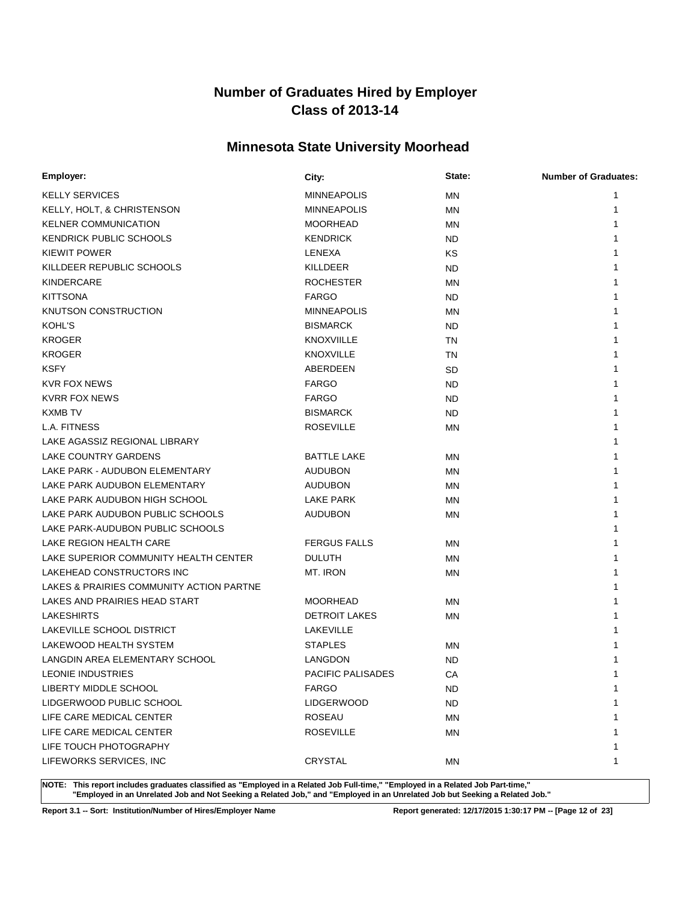# **Minnesota State University Moorhead**

| Employer:                                | City:                | State:    | <b>Number of Graduates:</b> |
|------------------------------------------|----------------------|-----------|-----------------------------|
| <b>KELLY SERVICES</b>                    | <b>MINNEAPOLIS</b>   | MN        | 1                           |
| KELLY, HOLT, & CHRISTENSON               | <b>MINNEAPOLIS</b>   | ΜN        |                             |
| <b>KELNER COMMUNICATION</b>              | <b>MOORHEAD</b>      | <b>MN</b> |                             |
| KENDRICK PUBLIC SCHOOLS                  | <b>KENDRICK</b>      | ND.       |                             |
| <b>KIEWIT POWER</b>                      | LENEXA               | ΚS        |                             |
| KILLDEER REPUBLIC SCHOOLS                | KILLDEER             | ND.       |                             |
| KINDERCARE                               | <b>ROCHESTER</b>     | <b>MN</b> |                             |
| <b>KITTSONA</b>                          | <b>FARGO</b>         | ND.       |                             |
| KNUTSON CONSTRUCTION                     | <b>MINNEAPOLIS</b>   | <b>MN</b> |                             |
| <b>KOHL'S</b>                            | <b>BISMARCK</b>      | ND.       |                             |
| <b>KROGER</b>                            | <b>KNOXVIILLE</b>    | TN        |                             |
| <b>KROGER</b>                            | <b>KNOXVILLE</b>     | ΤN        |                             |
| <b>KSFY</b>                              | ABERDEEN             | SD        |                             |
| <b>KVR FOX NEWS</b>                      | <b>FARGO</b>         | ND.       |                             |
| <b>KVRR FOX NEWS</b>                     | <b>FARGO</b>         | <b>ND</b> |                             |
| <b>KXMB TV</b>                           | <b>BISMARCK</b>      | <b>ND</b> |                             |
| L.A. FITNESS                             | <b>ROSEVILLE</b>     | MN        |                             |
| LAKE AGASSIZ REGIONAL LIBRARY            |                      |           |                             |
| LAKE COUNTRY GARDENS                     | <b>BATTLE LAKE</b>   | MN        |                             |
| LAKE PARK - AUDUBON ELEMENTARY           | <b>AUDUBON</b>       | ΜN        |                             |
| LAKE PARK AUDUBON ELEMENTARY             | <b>AUDUBON</b>       | <b>MN</b> |                             |
| LAKE PARK AUDUBON HIGH SCHOOL            | LAKE PARK            | MN        |                             |
| LAKE PARK AUDUBON PUBLIC SCHOOLS         | <b>AUDUBON</b>       | MN        |                             |
| LAKE PARK-AUDUBON PUBLIC SCHOOLS         |                      |           |                             |
| LAKE REGION HEALTH CARE                  | <b>FERGUS FALLS</b>  | ΜN        |                             |
| LAKE SUPERIOR COMMUNITY HEALTH CENTER    | <b>DULUTH</b>        | ΜN        |                             |
| LAKEHEAD CONSTRUCTORS INC                | MT. IRON             | MN        |                             |
| LAKES & PRAIRIES COMMUNITY ACTION PARTNE |                      |           |                             |
| LAKES AND PRAIRIES HEAD START            | <b>MOORHEAD</b>      | MN        |                             |
| <b>LAKESHIRTS</b>                        | <b>DETROIT LAKES</b> | ΜN        |                             |
| LAKEVILLE SCHOOL DISTRICT                | LAKEVILLE            |           |                             |
| LAKEWOOD HEALTH SYSTEM                   | <b>STAPLES</b>       | ΜN        |                             |
| LANGDIN AREA ELEMENTARY SCHOOL           | LANGDON              | ND        |                             |
| LEONIE INDUSTRIES                        | PACIFIC PALISADES    | CA        |                             |
| LIBERTY MIDDLE SCHOOL                    | <b>FARGO</b>         | ND        | 1                           |
| LIDGERWOOD PUBLIC SCHOOL                 | <b>LIDGERWOOD</b>    | <b>ND</b> | 1                           |
| LIFE CARE MEDICAL CENTER                 | <b>ROSEAU</b>        | ΜN        | 1                           |
| LIFE CARE MEDICAL CENTER                 | <b>ROSEVILLE</b>     | ΜN        | 1                           |
| LIFE TOUCH PHOTOGRAPHY                   |                      |           | 1                           |
| LIFEWORKS SERVICES, INC                  | <b>CRYSTAL</b>       | ΜN        | 1                           |

**NOTE: This report includes graduates classified as "Employed in a Related Job Full-time," "Employed in a Related Job Part-time," "Employed in an Unrelated Job and Not Seeking a Related Job," and "Employed in an Unrelated Job but Seeking a Related Job."**

**Report 3.1 -- Sort: Institution/Number of Hires/Employer Name Report generated: 12/17/2015 1:30:17 PM -- [Page 12 of 23]**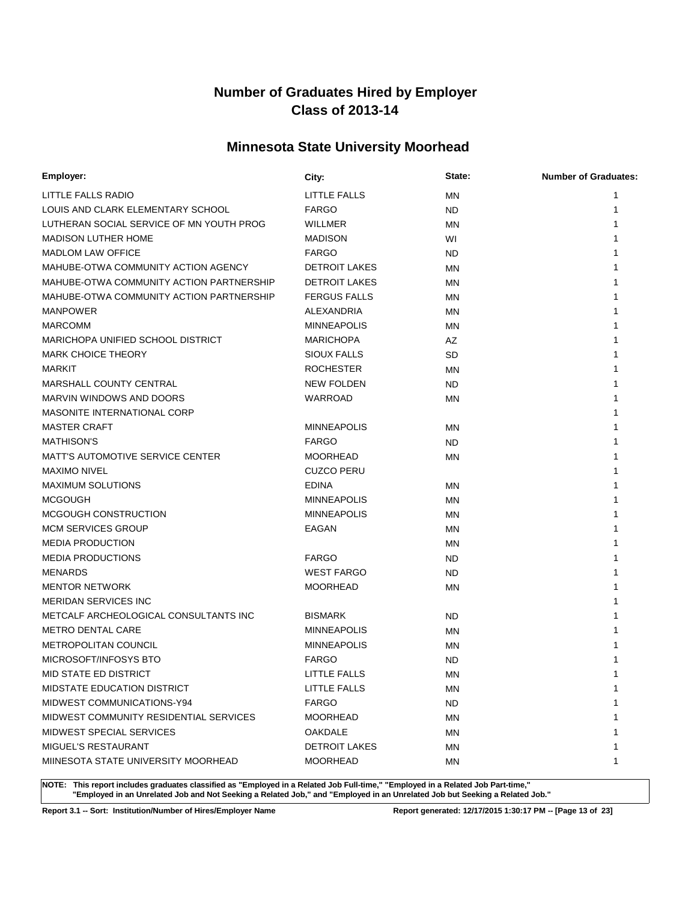# **Minnesota State University Moorhead**

| Employer:                                | City:                | State:    | <b>Number of Graduates:</b> |
|------------------------------------------|----------------------|-----------|-----------------------------|
| LITTLE FALLS RADIO                       | <b>LITTLE FALLS</b>  | <b>MN</b> | 1                           |
| LOUIS AND CLARK ELEMENTARY SCHOOL        | <b>FARGO</b>         | ND        | 1                           |
| LUTHERAN SOCIAL SERVICE OF MN YOUTH PROG | WILLMER              | <b>MN</b> |                             |
| <b>MADISON LUTHER HOME</b>               | <b>MADISON</b>       | WI        |                             |
| <b>MADLOM LAW OFFICE</b>                 | <b>FARGO</b>         | <b>ND</b> |                             |
| MAHUBE-OTWA COMMUNITY ACTION AGENCY      | <b>DETROIT LAKES</b> | ΜN        |                             |
| MAHUBE-OTWA COMMUNITY ACTION PARTNERSHIP | <b>DETROIT LAKES</b> | MN        |                             |
| MAHUBE-OTWA COMMUNITY ACTION PARTNERSHIP | <b>FERGUS FALLS</b>  | MN        |                             |
| <b>MANPOWER</b>                          | ALEXANDRIA           | <b>MN</b> |                             |
| <b>MARCOMM</b>                           | <b>MINNEAPOLIS</b>   | MN        |                             |
| MARICHOPA UNIFIED SCHOOL DISTRICT        | <b>MARICHOPA</b>     | AZ        |                             |
| <b>MARK CHOICE THEORY</b>                | <b>SIOUX FALLS</b>   | SD        |                             |
| <b>MARKIT</b>                            | <b>ROCHESTER</b>     | <b>MN</b> |                             |
| MARSHALL COUNTY CENTRAL                  | <b>NEW FOLDEN</b>    | ND        |                             |
| MARVIN WINDOWS AND DOORS                 | WARROAD              | <b>MN</b> |                             |
| MASONITE INTERNATIONAL CORP              |                      |           |                             |
| <b>MASTER CRAFT</b>                      | <b>MINNEAPOLIS</b>   | <b>MN</b> |                             |
| <b>MATHISON'S</b>                        | <b>FARGO</b>         | <b>ND</b> |                             |
| <b>MATT'S AUTOMOTIVE SERVICE CENTER</b>  | <b>MOORHEAD</b>      | MN        |                             |
| <b>MAXIMO NIVEL</b>                      | <b>CUZCO PERU</b>    |           |                             |
| <b>MAXIMUM SOLUTIONS</b>                 | <b>EDINA</b>         | MN        |                             |
| <b>MCGOUGH</b>                           | <b>MINNEAPOLIS</b>   | MN        |                             |
| MCGOUGH CONSTRUCTION                     | <b>MINNEAPOLIS</b>   | ΜN        |                             |
| <b>MCM SERVICES GROUP</b>                | EAGAN                | ΜN        |                             |
| <b>MEDIA PRODUCTION</b>                  |                      | MN        |                             |
| <b>MEDIA PRODUCTIONS</b>                 | <b>FARGO</b>         | <b>ND</b> |                             |
| <b>MENARDS</b>                           | <b>WEST FARGO</b>    | ND        |                             |
| <b>MENTOR NETWORK</b>                    | <b>MOORHEAD</b>      | ΜN        |                             |
| <b>MERIDAN SERVICES INC</b>              |                      |           |                             |
| METCALF ARCHEOLOGICAL CONSULTANTS INC    | <b>BISMARK</b>       | <b>ND</b> |                             |
| <b>METRO DENTAL CARE</b>                 | <b>MINNEAPOLIS</b>   | MN        |                             |
| <b>METROPOLITAN COUNCIL</b>              | <b>MINNEAPOLIS</b>   | MN        |                             |
| MICROSOFT/INFOSYS BTO                    | <b>FARGO</b>         | <b>ND</b> |                             |
| <b>MID STATE ED DISTRICT</b>             | <b>LITTLE FALLS</b>  | MN        |                             |
| MIDSTATE EDUCATION DISTRICT              | LITTLE FALLS         | MN        | 1                           |
| MIDWEST COMMUNICATIONS-Y94               | <b>FARGO</b>         | ND.       |                             |
| MIDWEST COMMUNITY RESIDENTIAL SERVICES   | <b>MOORHEAD</b>      | MN        |                             |
| MIDWEST SPECIAL SERVICES                 | OAKDALE              | ΜN        |                             |
| MIGUEL'S RESTAURANT                      | <b>DETROIT LAKES</b> | ΜN        |                             |
| MIINESOTA STATE UNIVERSITY MOORHEAD      | <b>MOORHEAD</b>      | ΜN        | 1                           |

**NOTE: This report includes graduates classified as "Employed in a Related Job Full-time," "Employed in a Related Job Part-time," "Employed in an Unrelated Job and Not Seeking a Related Job," and "Employed in an Unrelated Job but Seeking a Related Job."**

**Report 3.1 -- Sort: Institution/Number of Hires/Employer Name Report generated: 12/17/2015 1:30:17 PM -- [Page 13 of 23]**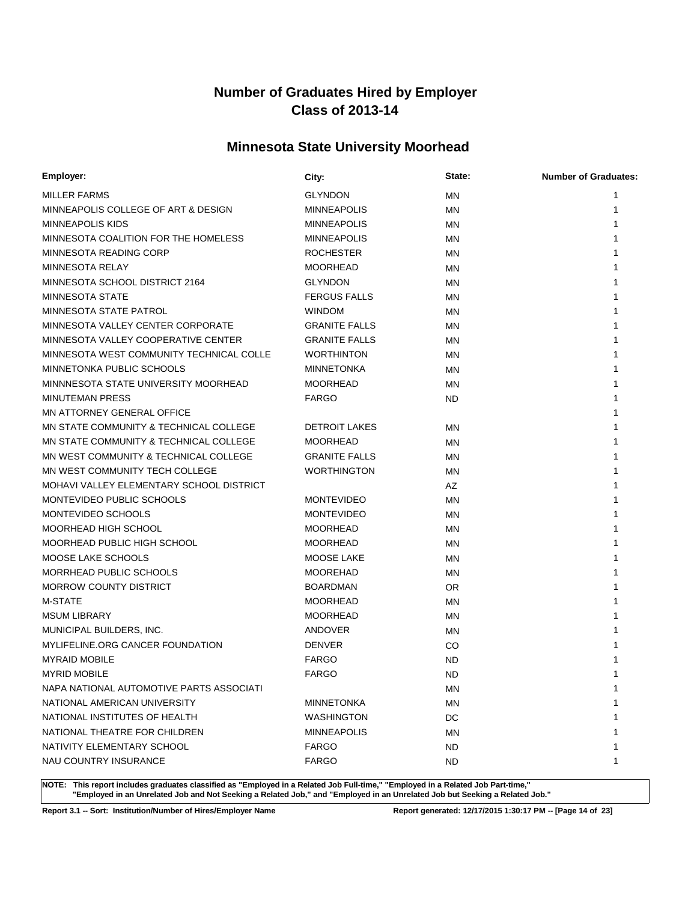# **Minnesota State University Moorhead**

| Employer:                                | City:                | State:    | <b>Number of Graduates:</b> |
|------------------------------------------|----------------------|-----------|-----------------------------|
| <b>MILLER FARMS</b>                      | <b>GLYNDON</b>       | ΜN        | 1                           |
| MINNEAPOLIS COLLEGE OF ART & DESIGN      | <b>MINNEAPOLIS</b>   | <b>MN</b> | 1                           |
| <b>MINNEAPOLIS KIDS</b>                  | <b>MINNEAPOLIS</b>   | ΜN        |                             |
| MINNESOTA COALITION FOR THE HOMELESS     | <b>MINNEAPOLIS</b>   | MN        |                             |
| MINNESOTA READING CORP                   | <b>ROCHESTER</b>     | ΜN        |                             |
| <b>MINNESOTA RELAY</b>                   | <b>MOORHEAD</b>      | MN        |                             |
| MINNESOTA SCHOOL DISTRICT 2164           | <b>GLYNDON</b>       | ΜN        |                             |
| <b>MINNESOTA STATE</b>                   | <b>FERGUS FALLS</b>  | <b>MN</b> |                             |
| MINNESOTA STATE PATROL                   | <b>WINDOM</b>        | <b>MN</b> |                             |
| MINNESOTA VALLEY CENTER CORPORATE        | <b>GRANITE FALLS</b> | <b>MN</b> |                             |
| MINNESOTA VALLEY COOPERATIVE CENTER      | <b>GRANITE FALLS</b> | <b>MN</b> |                             |
| MINNESOTA WEST COMMUNITY TECHNICAL COLLE | <b>WORTHINTON</b>    | <b>MN</b> |                             |
| MINNETONKA PUBLIC SCHOOLS                | <b>MINNETONKA</b>    | MN        |                             |
| MINNNESOTA STATE UNIVERSITY MOORHEAD     | <b>MOORHEAD</b>      | MN        |                             |
| <b>MINUTEMAN PRESS</b>                   | <b>FARGO</b>         | ND.       |                             |
| MN ATTORNEY GENERAL OFFICE               |                      |           |                             |
| MN STATE COMMUNITY & TECHNICAL COLLEGE   | <b>DETROIT LAKES</b> | ΜN        |                             |
| MN STATE COMMUNITY & TECHNICAL COLLEGE   | <b>MOORHEAD</b>      | MN        |                             |
| MN WEST COMMUNITY & TECHNICAL COLLEGE    | <b>GRANITE FALLS</b> | ΜN        |                             |
| MN WEST COMMUNITY TECH COLLEGE           | <b>WORTHINGTON</b>   | <b>MN</b> |                             |
| MOHAVI VALLEY ELEMENTARY SCHOOL DISTRICT |                      | AZ        |                             |
| MONTEVIDEO PUBLIC SCHOOLS                | <b>MONTEVIDEO</b>    | MN        |                             |
| MONTEVIDEO SCHOOLS                       | <b>MONTEVIDEO</b>    | <b>MN</b> |                             |
| MOORHEAD HIGH SCHOOL                     | <b>MOORHEAD</b>      | <b>MN</b> |                             |
| MOORHEAD PUBLIC HIGH SCHOOL              | <b>MOORHEAD</b>      | <b>MN</b> |                             |
| MOOSE LAKE SCHOOLS                       | MOOSE LAKE           | MN        |                             |
| MORRHEAD PUBLIC SCHOOLS                  | <b>MOOREHAD</b>      | ΜN        |                             |
| <b>MORROW COUNTY DISTRICT</b>            | <b>BOARDMAN</b>      | 0R        |                             |
| <b>M-STATE</b>                           | <b>MOORHEAD</b>      | MN        |                             |
| <b>MSUM LIBRARY</b>                      | <b>MOORHEAD</b>      | MN        |                             |
| MUNICIPAL BUILDERS, INC.                 | ANDOVER              | MN        |                             |
| MYLIFELINE.ORG CANCER FOUNDATION         | <b>DENVER</b>        | CO        |                             |
| <b>MYRAID MOBILE</b>                     | <b>FARGO</b>         | <b>ND</b> |                             |
| <b>MYRID MOBILE</b>                      | <b>FARGO</b>         | <b>ND</b> | 1                           |
| NAPA NATIONAL AUTOMOTIVE PARTS ASSOCIATI |                      | ΜN        | 1                           |
| NATIONAL AMERICAN UNIVERSITY             | <b>MINNETONKA</b>    | ΜN        | 1                           |
| NATIONAL INSTITUTES OF HEALTH            | <b>WASHINGTON</b>    | DC        |                             |
| NATIONAL THEATRE FOR CHILDREN            | <b>MINNEAPOLIS</b>   | ΜN        |                             |
| NATIVITY ELEMENTARY SCHOOL               | <b>FARGO</b>         | ND.       | 1                           |
| NAU COUNTRY INSURANCE                    | <b>FARGO</b>         | ND.       | 1                           |

**NOTE: This report includes graduates classified as "Employed in a Related Job Full-time," "Employed in a Related Job Part-time," "Employed in an Unrelated Job and Not Seeking a Related Job," and "Employed in an Unrelated Job but Seeking a Related Job."**

**Report 3.1 -- Sort: Institution/Number of Hires/Employer Name Report generated: 12/17/2015 1:30:17 PM -- [Page 14 of 23]**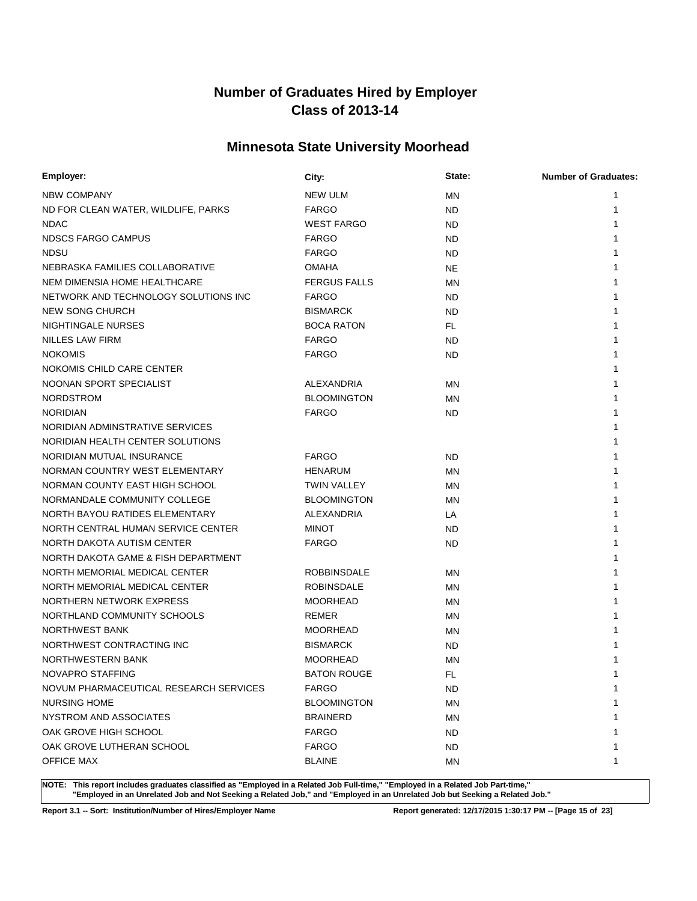# **Minnesota State University Moorhead**

| Employer:                              | City:               | State:    | <b>Number of Graduates:</b> |
|----------------------------------------|---------------------|-----------|-----------------------------|
| NBW COMPANY                            | <b>NEW ULM</b>      | ΜN        | 1                           |
| ND FOR CLEAN WATER, WILDLIFE, PARKS    | <b>FARGO</b>        | <b>ND</b> | 1                           |
| <b>NDAC</b>                            | <b>WEST FARGO</b>   | <b>ND</b> |                             |
| <b>NDSCS FARGO CAMPUS</b>              | <b>FARGO</b>        | <b>ND</b> |                             |
| <b>NDSU</b>                            | <b>FARGO</b>        | <b>ND</b> |                             |
| NEBRASKA FAMILIES COLLABORATIVE        | <b>OMAHA</b>        | <b>NE</b> |                             |
| NEM DIMENSIA HOME HEALTHCARE           | <b>FERGUS FALLS</b> | ΜN        |                             |
| NETWORK AND TECHNOLOGY SOLUTIONS INC   | <b>FARGO</b>        | <b>ND</b> |                             |
| NEW SONG CHURCH                        | <b>BISMARCK</b>     | <b>ND</b> |                             |
| NIGHTINGALE NURSES                     | <b>BOCA RATON</b>   | FL.       |                             |
| <b>NILLES LAW FIRM</b>                 | <b>FARGO</b>        | <b>ND</b> |                             |
| <b>NOKOMIS</b>                         | <b>FARGO</b>        | <b>ND</b> |                             |
| NOKOMIS CHILD CARE CENTER              |                     |           |                             |
| NOONAN SPORT SPECIALIST                | ALEXANDRIA          | <b>MN</b> |                             |
| <b>NORDSTROM</b>                       | <b>BLOOMINGTON</b>  | ΜN        |                             |
| <b>NORIDIAN</b>                        | <b>FARGO</b>        | ND        |                             |
| NORIDIAN ADMINSTRATIVE SERVICES        |                     |           |                             |
| NORIDIAN HEALTH CENTER SOLUTIONS       |                     |           |                             |
| NORIDIAN MUTUAL INSURANCE              | <b>FARGO</b>        | ND        |                             |
| NORMAN COUNTRY WEST ELEMENTARY         | <b>HENARUM</b>      | <b>MN</b> |                             |
| NORMAN COUNTY EAST HIGH SCHOOL         | <b>TWIN VALLEY</b>  | ΜN        |                             |
| NORMANDALE COMMUNITY COLLEGE           | <b>BLOOMINGTON</b>  | <b>MN</b> |                             |
| NORTH BAYOU RATIDES ELEMENTARY         | ALEXANDRIA          | LA        |                             |
| NORTH CENTRAL HUMAN SERVICE CENTER     | <b>MINOT</b>        | <b>ND</b> |                             |
| NORTH DAKOTA AUTISM CENTER             | <b>FARGO</b>        | <b>ND</b> |                             |
| NORTH DAKOTA GAME & FISH DEPARTMENT    |                     |           |                             |
| NORTH MEMORIAL MEDICAL CENTER          | <b>ROBBINSDALE</b>  | ΜN        |                             |
| NORTH MEMORIAL MEDICAL CENTER          | <b>ROBINSDALE</b>   | <b>MN</b> |                             |
| NORTHERN NETWORK EXPRESS               | <b>MOORHEAD</b>     | ΜN        |                             |
| NORTHLAND COMMUNITY SCHOOLS            | REMER               | ΜN        |                             |
| <b>NORTHWEST BANK</b>                  | <b>MOORHEAD</b>     | ΜN        |                             |
| NORTHWEST CONTRACTING INC              | <b>BISMARCK</b>     | <b>ND</b> |                             |
| NORTHWESTERN BANK                      | <b>MOORHEAD</b>     | MN        |                             |
| NOVAPRO STAFFING                       | <b>BATON ROUGE</b>  | <b>FL</b> |                             |
| NOVUM PHARMACEUTICAL RESEARCH SERVICES | <b>FARGO</b>        | ND.       | 1                           |
| <b>NURSING HOME</b>                    | <b>BLOOMINGTON</b>  | <b>MN</b> |                             |
| NYSTROM AND ASSOCIATES                 | <b>BRAINERD</b>     | ΜN        |                             |
| OAK GROVE HIGH SCHOOL                  | <b>FARGO</b>        | <b>ND</b> |                             |
| OAK GROVE LUTHERAN SCHOOL              | <b>FARGO</b>        | ND.       |                             |
| <b>OFFICE MAX</b>                      | <b>BLAINE</b>       | MN        | 1                           |

**NOTE: This report includes graduates classified as "Employed in a Related Job Full-time," "Employed in a Related Job Part-time," "Employed in an Unrelated Job and Not Seeking a Related Job," and "Employed in an Unrelated Job but Seeking a Related Job."**

**Report 3.1 -- Sort: Institution/Number of Hires/Employer Name Report generated: 12/17/2015 1:30:17 PM -- [Page 15 of 23]**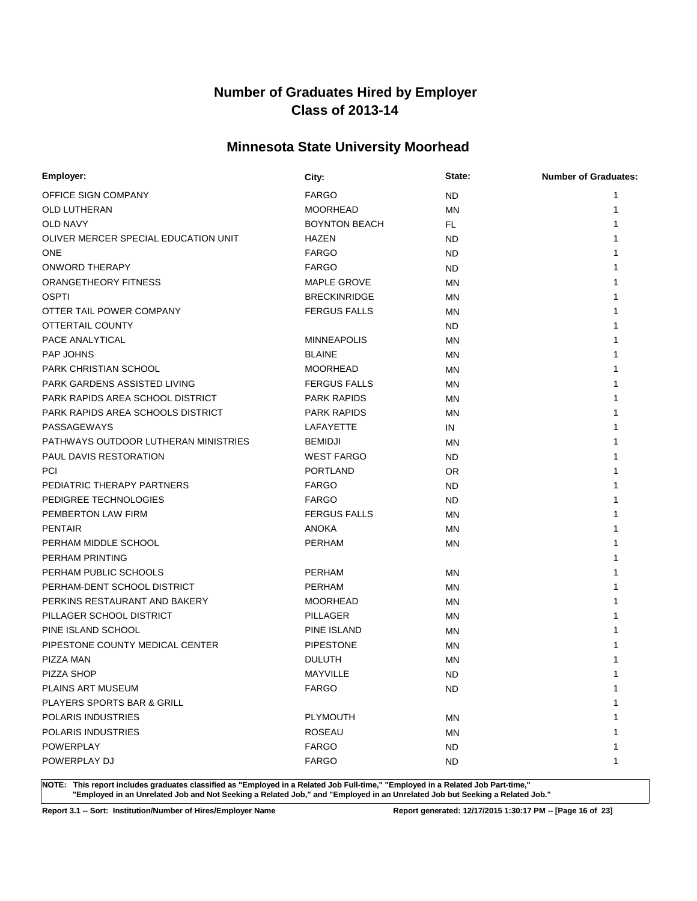# **Minnesota State University Moorhead**

| Employer:                            | City:                | State:    | <b>Number of Graduates:</b> |
|--------------------------------------|----------------------|-----------|-----------------------------|
| OFFICE SIGN COMPANY                  | <b>FARGO</b>         | <b>ND</b> |                             |
| OLD LUTHERAN                         | <b>MOORHEAD</b>      | <b>MN</b> | 1                           |
| <b>OLD NAVY</b>                      | <b>BOYNTON BEACH</b> | FL.       |                             |
| OLIVER MERCER SPECIAL EDUCATION UNIT | <b>HAZEN</b>         | <b>ND</b> |                             |
| <b>ONE</b>                           | <b>FARGO</b>         | ND        |                             |
| <b>ONWORD THERAPY</b>                | <b>FARGO</b>         | ND        |                             |
| ORANGETHEORY FITNESS                 | <b>MAPLE GROVE</b>   | <b>MN</b> |                             |
| <b>OSPTI</b>                         | <b>BRECKINRIDGE</b>  | MN        |                             |
| OTTER TAIL POWER COMPANY             | <b>FERGUS FALLS</b>  | <b>MN</b> |                             |
| OTTERTAIL COUNTY                     |                      | ND        |                             |
| PACE ANALYTICAL                      | <b>MINNEAPOLIS</b>   | MN        |                             |
| <b>PAP JOHNS</b>                     | <b>BLAINE</b>        | MN        |                             |
| PARK CHRISTIAN SCHOOL                | <b>MOORHEAD</b>      | <b>MN</b> |                             |
| PARK GARDENS ASSISTED LIVING         | <b>FERGUS FALLS</b>  | MN        |                             |
| PARK RAPIDS AREA SCHOOL DISTRICT     | <b>PARK RAPIDS</b>   | <b>MN</b> |                             |
| PARK RAPIDS AREA SCHOOLS DISTRICT    | <b>PARK RAPIDS</b>   | MN        |                             |
| PASSAGEWAYS                          | LAFAYETTE            | IN        |                             |
| PATHWAYS OUTDOOR LUTHERAN MINISTRIES | <b>BEMIDJI</b>       | MN        |                             |
| PAUL DAVIS RESTORATION               | <b>WEST FARGO</b>    | <b>ND</b> |                             |
| <b>PCI</b>                           | <b>PORTLAND</b>      | <b>OR</b> |                             |
| PEDIATRIC THERAPY PARTNERS           | <b>FARGO</b>         | ND.       |                             |
| PEDIGREE TECHNOLOGIES                | <b>FARGO</b>         | ND        |                             |
| PEMBERTON LAW FIRM                   | <b>FERGUS FALLS</b>  | <b>MN</b> |                             |
| <b>PENTAIR</b>                       | <b>ANOKA</b>         | <b>MN</b> |                             |
| PERHAM MIDDLE SCHOOL                 | PERHAM               | <b>MN</b> |                             |
| PERHAM PRINTING                      |                      |           |                             |
| PERHAM PUBLIC SCHOOLS                | PERHAM               | <b>MN</b> |                             |
| PERHAM-DENT SCHOOL DISTRICT          | <b>PERHAM</b>        | MN        |                             |
| PERKINS RESTAURANT AND BAKERY        | <b>MOORHEAD</b>      | <b>MN</b> |                             |
| PILLAGER SCHOOL DISTRICT             | PILLAGER             | MN        |                             |
| PINE ISLAND SCHOOL                   | PINE ISLAND          | MN        |                             |
| PIPESTONE COUNTY MEDICAL CENTER      | <b>PIPESTONE</b>     | <b>MN</b> |                             |
| PIZZA MAN                            | <b>DULUTH</b>        | MN        |                             |
| PIZZA SHOP                           | <b>MAYVILLE</b>      | <b>ND</b> | 1                           |
| PLAINS ART MUSEUM                    | <b>FARGO</b>         | <b>ND</b> | 1                           |
| PLAYERS SPORTS BAR & GRILL           |                      |           |                             |
| POLARIS INDUSTRIES                   | PLYMOUTH             | <b>MN</b> |                             |
| POLARIS INDUSTRIES                   | <b>ROSEAU</b>        | MN        |                             |
| POWERPLAY                            | FARGO                | ND.       |                             |
| POWERPLAY DJ                         | <b>FARGO</b>         | ND.       | 1                           |

**NOTE: This report includes graduates classified as "Employed in a Related Job Full-time," "Employed in a Related Job Part-time," "Employed in an Unrelated Job and Not Seeking a Related Job," and "Employed in an Unrelated Job but Seeking a Related Job."**

**Report 3.1 -- Sort: Institution/Number of Hires/Employer Name Report generated: 12/17/2015 1:30:17 PM -- [Page 16 of 23]**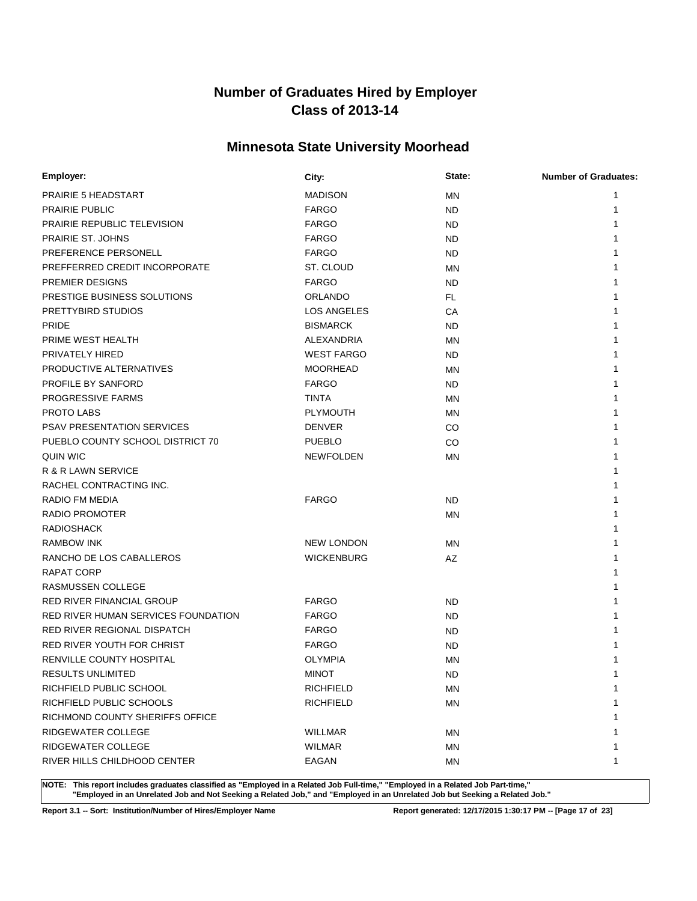# **Minnesota State University Moorhead**

| Employer:                           | City:             | State:    | <b>Number of Graduates:</b> |
|-------------------------------------|-------------------|-----------|-----------------------------|
| <b>PRAIRIE 5 HEADSTART</b>          | <b>MADISON</b>    | MN        | 1                           |
| <b>PRAIRIE PUBLIC</b>               | <b>FARGO</b>      | ND        | 1                           |
| <b>PRAIRIE REPUBLIC TELEVISION</b>  | <b>FARGO</b>      | ND        |                             |
| PRAIRIE ST. JOHNS                   | <b>FARGO</b>      | ND        |                             |
| PREFERENCE PERSONELL                | <b>FARGO</b>      | ND        |                             |
| PREFFERRED CREDIT INCORPORATE       | ST. CLOUD         | MN        |                             |
| PREMIER DESIGNS                     | <b>FARGO</b>      | ND        |                             |
| PRESTIGE BUSINESS SOLUTIONS         | <b>ORLANDO</b>    | FL.       |                             |
| PRETTYBIRD STUDIOS                  | LOS ANGELES       | СA        |                             |
| <b>PRIDE</b>                        | <b>BISMARCK</b>   | <b>ND</b> |                             |
| PRIME WEST HEALTH                   | ALEXANDRIA        | MN        |                             |
| PRIVATELY HIRED                     | <b>WEST FARGO</b> | <b>ND</b> |                             |
| PRODUCTIVE ALTERNATIVES             | <b>MOORHEAD</b>   | <b>MN</b> |                             |
| PROFILE BY SANFORD                  | <b>FARGO</b>      | <b>ND</b> |                             |
| PROGRESSIVE FARMS                   | <b>TINTA</b>      | <b>MN</b> |                             |
| PROTO LABS                          | <b>PLYMOUTH</b>   | <b>MN</b> |                             |
| <b>PSAV PRESENTATION SERVICES</b>   | <b>DENVER</b>     | CO        |                             |
| PUEBLO COUNTY SCHOOL DISTRICT 70    | <b>PUEBLO</b>     | CO        |                             |
| QUIN WIC                            | <b>NEWFOLDEN</b>  | <b>MN</b> |                             |
| R & R LAWN SERVICE                  |                   |           |                             |
| RACHEL CONTRACTING INC.             |                   |           |                             |
| RADIO FM MEDIA                      | <b>FARGO</b>      | <b>ND</b> |                             |
| RADIO PROMOTER                      |                   | ΜN        |                             |
| <b>RADIOSHACK</b>                   |                   |           |                             |
| <b>RAMBOW INK</b>                   | <b>NEW LONDON</b> | MN        |                             |
| RANCHO DE LOS CABALLEROS            | <b>WICKENBURG</b> | AZ        |                             |
| RAPAT CORP                          |                   |           |                             |
| RASMUSSEN COLLEGE                   |                   |           |                             |
| RED RIVER FINANCIAL GROUP           | <b>FARGO</b>      | ND        |                             |
| RED RIVER HUMAN SERVICES FOUNDATION | <b>FARGO</b>      | ND        |                             |
| <b>RED RIVER REGIONAL DISPATCH</b>  | <b>FARGO</b>      | ND        |                             |
| RED RIVER YOUTH FOR CHRIST          | <b>FARGO</b>      | <b>ND</b> |                             |
| <b>RENVILLE COUNTY HOSPITAL</b>     | <b>OLYMPIA</b>    | MN        |                             |
| RESULTS UNLIMITED                   | <b>MINOT</b>      | <b>ND</b> | 1                           |
| RICHFIELD PUBLIC SCHOOL             | <b>RICHFIELD</b>  | ΜN        | 1                           |
| RICHFIELD PUBLIC SCHOOLS            | <b>RICHFIELD</b>  | <b>MN</b> | 1                           |
| RICHMOND COUNTY SHERIFFS OFFICE     |                   |           |                             |
| RIDGEWATER COLLEGE                  | <b>WILLMAR</b>    | MN        | 1                           |
| RIDGEWATER COLLEGE                  | <b>WILMAR</b>     | ΜN        | 1                           |
| RIVER HILLS CHILDHOOD CENTER        | EAGAN             | MN        | 1                           |

**NOTE: This report includes graduates classified as "Employed in a Related Job Full-time," "Employed in a Related Job Part-time," "Employed in an Unrelated Job and Not Seeking a Related Job," and "Employed in an Unrelated Job but Seeking a Related Job."**

**Report 3.1 -- Sort: Institution/Number of Hires/Employer Name Report generated: 12/17/2015 1:30:17 PM -- [Page 17 of 23]**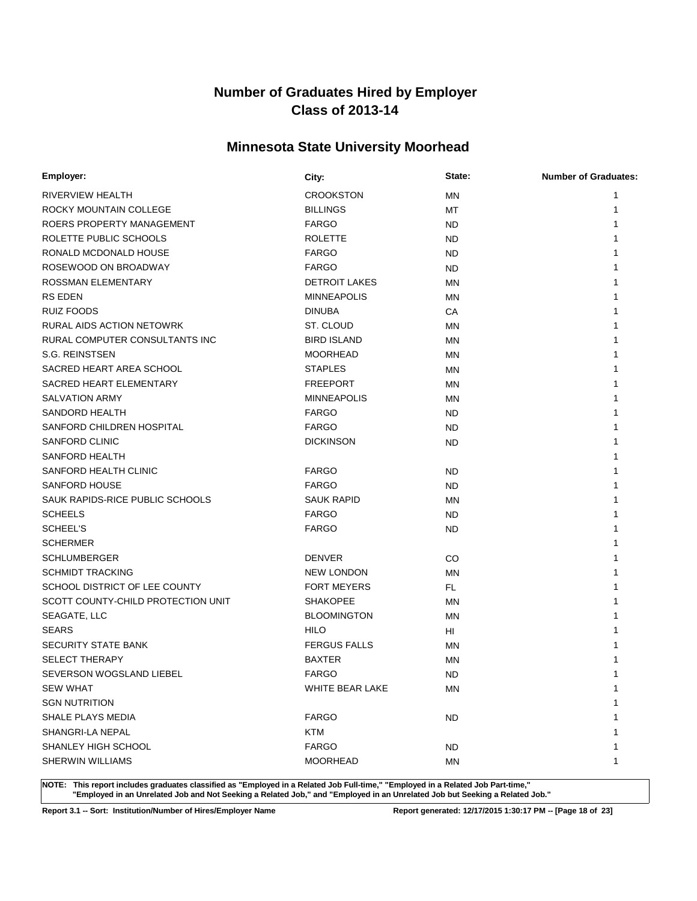# **Minnesota State University Moorhead**

| Employer:                          | City:                | State:    | <b>Number of Graduates:</b> |
|------------------------------------|----------------------|-----------|-----------------------------|
| RIVERVIEW HEALTH                   | <b>CROOKSTON</b>     | ΜN        | 1                           |
| ROCKY MOUNTAIN COLLEGE             | <b>BILLINGS</b>      | MT        | 1                           |
| ROERS PROPERTY MANAGEMENT          | <b>FARGO</b>         | ND.       |                             |
| ROLETTE PUBLIC SCHOOLS             | <b>ROLETTE</b>       | ND.       |                             |
| RONALD MCDONALD HOUSE              | <b>FARGO</b>         | ND.       |                             |
| ROSEWOOD ON BROADWAY               | <b>FARGO</b>         | ND.       |                             |
| <b>ROSSMAN ELEMENTARY</b>          | <b>DETROIT LAKES</b> | ΜN        |                             |
| <b>RS EDEN</b>                     | <b>MINNEAPOLIS</b>   | <b>MN</b> |                             |
| RUIZ FOODS                         | <b>DINUBA</b>        | CA        |                             |
| RURAL AIDS ACTION NETOWRK          | ST. CLOUD            | <b>MN</b> |                             |
| RURAL COMPUTER CONSULTANTS INC     | <b>BIRD ISLAND</b>   | <b>MN</b> |                             |
| S.G. REINSTSEN                     | <b>MOORHEAD</b>      | <b>MN</b> |                             |
| SACRED HEART AREA SCHOOL           | <b>STAPLES</b>       | MN        |                             |
| SACRED HEART ELEMENTARY            | <b>FREEPORT</b>      | ΜN        |                             |
| <b>SALVATION ARMY</b>              | <b>MINNEAPOLIS</b>   | MN        |                             |
| SANDORD HEALTH                     | <b>FARGO</b>         | ND.       |                             |
| SANFORD CHILDREN HOSPITAL          | <b>FARGO</b>         | <b>ND</b> |                             |
| <b>SANFORD CLINIC</b>              | <b>DICKINSON</b>     | ND.       |                             |
| <b>SANFORD HEALTH</b>              |                      |           |                             |
| SANFORD HEALTH CLINIC              | <b>FARGO</b>         | ND.       |                             |
| <b>SANFORD HOUSE</b>               | <b>FARGO</b>         | ND.       |                             |
| SAUK RAPIDS-RICE PUBLIC SCHOOLS    | <b>SAUK RAPID</b>    | <b>MN</b> |                             |
| <b>SCHEELS</b>                     | <b>FARGO</b>         | ND.       |                             |
| <b>SCHEEL'S</b>                    | <b>FARGO</b>         | ND.       |                             |
| <b>SCHERMER</b>                    |                      |           |                             |
| <b>SCHLUMBERGER</b>                | <b>DENVER</b>        | CO        |                             |
| <b>SCHMIDT TRACKING</b>            | <b>NEW LONDON</b>    | ΜN        |                             |
| SCHOOL DISTRICT OF LEE COUNTY      | <b>FORT MEYERS</b>   | FL.       |                             |
| SCOTT COUNTY-CHILD PROTECTION UNIT | <b>SHAKOPEE</b>      | ΜN        |                             |
| SEAGATE, LLC                       | <b>BLOOMINGTON</b>   | MN        |                             |
| <b>SEARS</b>                       | <b>HILO</b>          | HI        |                             |
| <b>SECURITY STATE BANK</b>         | <b>FERGUS FALLS</b>  | MN        |                             |
| <b>SELECT THERAPY</b>              | <b>BAXTER</b>        | ΜN        |                             |
| SEVERSON WOGSLAND LIEBEL           | <b>FARGO</b>         | <b>ND</b> | 1                           |
| <b>SEW WHAT</b>                    | WHITE BEAR LAKE      | MN        | 1                           |
| <b>SGN NUTRITION</b>               |                      |           | 1                           |
| SHALE PLAYS MEDIA                  | <b>FARGO</b>         | ND.       | 1                           |
| SHANGRI-LA NEPAL                   | <b>KTM</b>           |           | 1                           |
| SHANLEY HIGH SCHOOL                | <b>FARGO</b>         | ND.       | 1                           |
| SHERWIN WILLIAMS                   | <b>MOORHEAD</b>      | MN        | 1                           |

**NOTE: This report includes graduates classified as "Employed in a Related Job Full-time," "Employed in a Related Job Part-time," "Employed in an Unrelated Job and Not Seeking a Related Job," and "Employed in an Unrelated Job but Seeking a Related Job."**

**Report 3.1 -- Sort: Institution/Number of Hires/Employer Name Report generated: 12/17/2015 1:30:17 PM -- [Page 18 of 23]**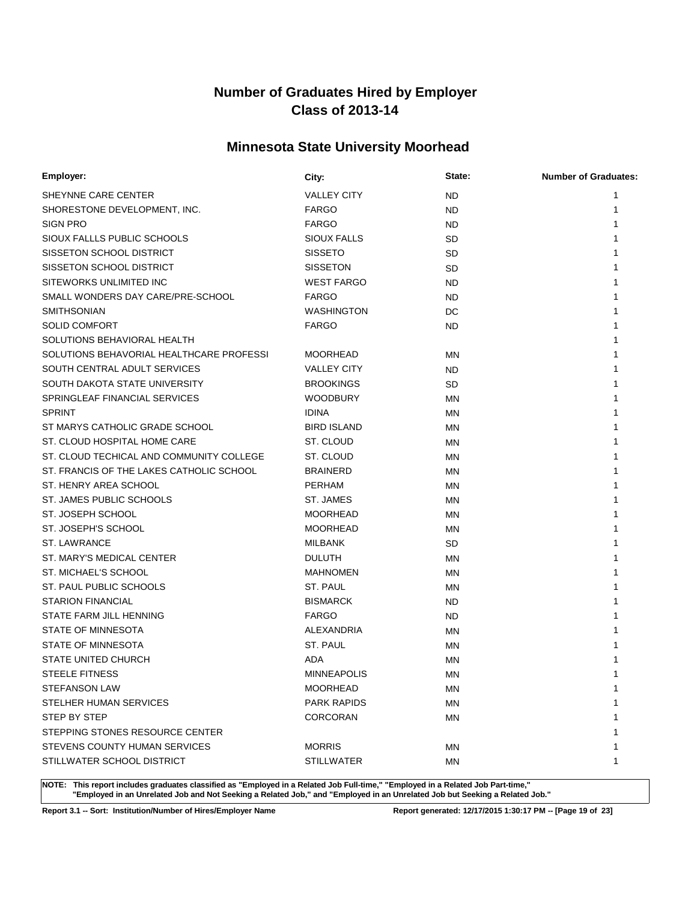# **Minnesota State University Moorhead**

| Employer:                                | City:              | State:    | <b>Number of Graduates:</b> |
|------------------------------------------|--------------------|-----------|-----------------------------|
| SHEYNNE CARE CENTER                      | <b>VALLEY CITY</b> | ND        | 1                           |
| SHORESTONE DEVELOPMENT, INC.             | <b>FARGO</b>       | <b>ND</b> | 1                           |
| <b>SIGN PRO</b>                          | <b>FARGO</b>       | ND        |                             |
| SIOUX FALLLS PUBLIC SCHOOLS              | SIOUX FALLS        | <b>SD</b> |                             |
| SISSETON SCHOOL DISTRICT                 | <b>SISSETO</b>     | <b>SD</b> |                             |
| SISSETON SCHOOL DISTRICT                 | <b>SISSETON</b>    | SD        |                             |
| SITEWORKS UNLIMITED INC                  | <b>WEST FARGO</b>  | ND.       |                             |
| SMALL WONDERS DAY CARE/PRE-SCHOOL        | <b>FARGO</b>       | ND        |                             |
| <b>SMITHSONIAN</b>                       | <b>WASHINGTON</b>  | DC        |                             |
| <b>SOLID COMFORT</b>                     | <b>FARGO</b>       | <b>ND</b> |                             |
| SOLUTIONS BEHAVIORAL HEALTH              |                    |           |                             |
| SOLUTIONS BEHAVORIAL HEALTHCARE PROFESSI | <b>MOORHEAD</b>    | <b>MN</b> |                             |
| SOUTH CENTRAL ADULT SERVICES             | <b>VALLEY CITY</b> | ND        |                             |
| SOUTH DAKOTA STATE UNIVERSITY            | <b>BROOKINGS</b>   | <b>SD</b> |                             |
| SPRINGLEAF FINANCIAL SERVICES            | <b>WOODBURY</b>    | MN        |                             |
| <b>SPRINT</b>                            | <b>IDINA</b>       | <b>MN</b> |                             |
| ST MARYS CATHOLIC GRADE SCHOOL           | <b>BIRD ISLAND</b> | MN        |                             |
| ST. CLOUD HOSPITAL HOME CARE             | ST. CLOUD          | <b>MN</b> |                             |
| ST. CLOUD TECHICAL AND COMMUNITY COLLEGE | ST. CLOUD          | <b>MN</b> |                             |
| ST. FRANCIS OF THE LAKES CATHOLIC SCHOOL | <b>BRAINERD</b>    | <b>MN</b> |                             |
| ST. HENRY AREA SCHOOL                    | <b>PERHAM</b>      | <b>MN</b> |                             |
| ST. JAMES PUBLIC SCHOOLS                 | ST. JAMES          | <b>MN</b> |                             |
| ST. JOSEPH SCHOOL                        | <b>MOORHEAD</b>    | MN        |                             |
| ST. JOSEPH'S SCHOOL                      | <b>MOORHEAD</b>    | <b>MN</b> |                             |
| <b>ST. LAWRANCE</b>                      | <b>MILBANK</b>     | SD        |                             |
| ST. MARY'S MEDICAL CENTER                | <b>DULUTH</b>      | <b>MN</b> |                             |
| ST. MICHAEL'S SCHOOL                     | <b>MAHNOMEN</b>    | ΜN        |                             |
| ST. PAUL PUBLIC SCHOOLS                  | ST. PAUL           | ΜN        |                             |
| <b>STARION FINANCIAL</b>                 | <b>BISMARCK</b>    | ND.       |                             |
| STATE FARM JILL HENNING                  | <b>FARGO</b>       | ND.       |                             |
| STATE OF MINNESOTA                       | ALEXANDRIA         | <b>MN</b> |                             |
| STATE OF MINNESOTA                       | ST. PAUL           | <b>MN</b> |                             |
| <b>STATE UNITED CHURCH</b>               | ADA                | ΜN        |                             |
| STEELE FITNESS                           | <b>MINNEAPOLIS</b> | <b>MN</b> | 1                           |
| <b>STEFANSON LAW</b>                     | <b>MOORHEAD</b>    | MN        | 1                           |
| STELHER HUMAN SERVICES                   | <b>PARK RAPIDS</b> | <b>MN</b> | 1                           |
| STEP BY STEP                             | <b>CORCORAN</b>    | ΜN        |                             |
| STEPPING STONES RESOURCE CENTER          |                    |           | 1                           |
| STEVENS COUNTY HUMAN SERVICES            | <b>MORRIS</b>      | ΜN        | 1                           |
| STILLWATER SCHOOL DISTRICT               | <b>STILLWATER</b>  | ΜN        | 1                           |

**NOTE: This report includes graduates classified as "Employed in a Related Job Full-time," "Employed in a Related Job Part-time," "Employed in an Unrelated Job and Not Seeking a Related Job," and "Employed in an Unrelated Job but Seeking a Related Job."**

**Report 3.1 -- Sort: Institution/Number of Hires/Employer Name Report generated: 12/17/2015 1:30:17 PM -- [Page 19 of 23]**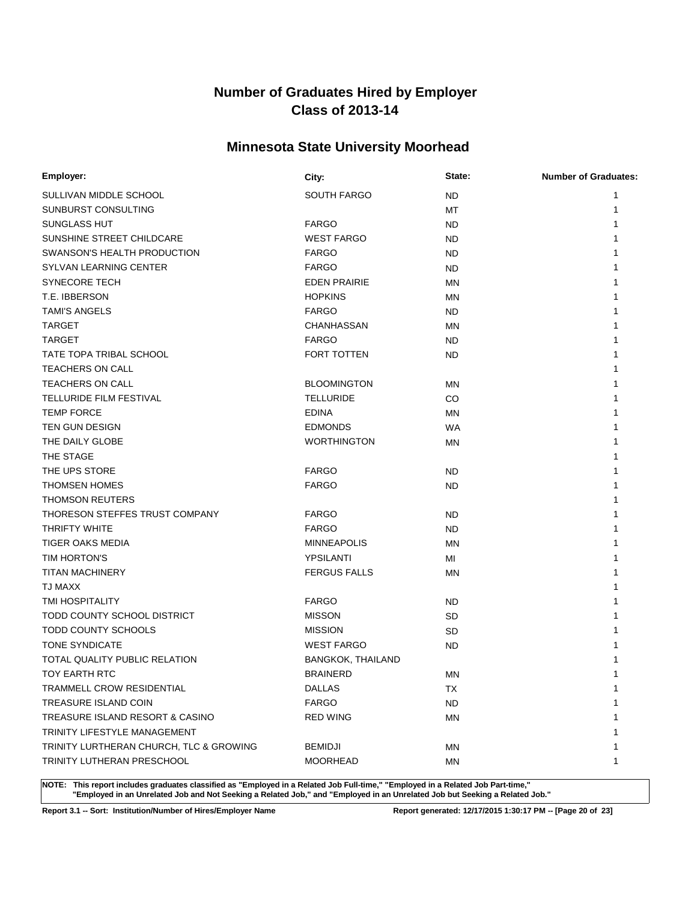# **Minnesota State University Moorhead**

| Employer:                               | City:                    | State:    | <b>Number of Graduates:</b> |
|-----------------------------------------|--------------------------|-----------|-----------------------------|
| SULLIVAN MIDDLE SCHOOL                  | <b>SOUTH FARGO</b>       | ND.       | 1                           |
| SUNBURST CONSULTING                     |                          | МT        | 1                           |
| SUNGLASS HUT                            | <b>FARGO</b>             | ND.       | 1                           |
| SUNSHINE STREET CHILDCARE               | <b>WEST FARGO</b>        | ND.       |                             |
| SWANSON'S HEALTH PRODUCTION             | <b>FARGO</b>             | ND.       |                             |
| SYLVAN LEARNING CENTER                  | <b>FARGO</b>             | ND.       |                             |
| <b>SYNECORE TECH</b>                    | <b>EDEN PRAIRIE</b>      | ΜN        |                             |
| T.E. IBBERSON                           | <b>HOPKINS</b>           | MN        |                             |
| <b>TAMI'S ANGELS</b>                    | <b>FARGO</b>             | ND.       |                             |
| <b>TARGET</b>                           | CHANHASSAN               | MN        |                             |
| <b>TARGET</b>                           | <b>FARGO</b>             | ND.       |                             |
| TATE TOPA TRIBAL SCHOOL                 | FORT TOTTEN              | ND.       |                             |
| <b>TEACHERS ON CALL</b>                 |                          |           |                             |
| <b>TEACHERS ON CALL</b>                 | <b>BLOOMINGTON</b>       | ΜN        |                             |
| <b>TELLURIDE FILM FESTIVAL</b>          | <b>TELLURIDE</b>         | CO        |                             |
| <b>TEMP FORCE</b>                       | <b>EDINA</b>             | ΜN        |                             |
| TEN GUN DESIGN                          | <b>EDMONDS</b>           | WA        |                             |
| THE DAILY GLOBE                         | <b>WORTHINGTON</b>       | ΜN        |                             |
| THE STAGE                               |                          |           |                             |
| THE UPS STORE                           | <b>FARGO</b>             | ND.       |                             |
| <b>THOMSEN HOMES</b>                    | <b>FARGO</b>             | ND.       |                             |
| <b>THOMSON REUTERS</b>                  |                          |           |                             |
| THORESON STEFFES TRUST COMPANY          | <b>FARGO</b>             | ND.       |                             |
| <b>THRIFTY WHITE</b>                    | <b>FARGO</b>             | ND.       |                             |
| <b>TIGER OAKS MEDIA</b>                 | <b>MINNEAPOLIS</b>       | <b>MN</b> |                             |
| TIM HORTON'S                            | YPSILANTI                | MI        |                             |
| <b>TITAN MACHINERY</b>                  | <b>FERGUS FALLS</b>      | ΜN        |                             |
| TJ MAXX                                 |                          |           |                             |
| <b>TMI HOSPITALITY</b>                  | <b>FARGO</b>             | ND.       |                             |
| TODD COUNTY SCHOOL DISTRICT             | <b>MISSON</b>            | SD        |                             |
| <b>TODD COUNTY SCHOOLS</b>              | <b>MISSION</b>           | SD        |                             |
| <b>TONE SYNDICATE</b>                   | <b>WEST FARGO</b>        | ND.       |                             |
| TOTAL QUALITY PUBLIC RELATION           | <b>BANGKOK, THAILAND</b> |           |                             |
| <b>TOY EARTH RTC</b>                    | <b>BRAINERD</b>          | MN        | 1                           |
| TRAMMELL CROW RESIDENTIAL               | <b>DALLAS</b>            | TX        | 1                           |
| TREASURE ISLAND COIN                    | <b>FARGO</b>             | <b>ND</b> |                             |
| TREASURE ISLAND RESORT & CASINO         | <b>RED WING</b>          | ΜN        |                             |
| TRINITY LIFESTYLE MANAGEMENT            |                          |           |                             |
| TRINITY LURTHERAN CHURCH, TLC & GROWING | <b>BEMIDJI</b>           | ΜN        |                             |
| TRINITY LUTHERAN PRESCHOOL              | <b>MOORHEAD</b>          | ΜN        | 1                           |

**NOTE: This report includes graduates classified as "Employed in a Related Job Full-time," "Employed in a Related Job Part-time," "Employed in an Unrelated Job and Not Seeking a Related Job," and "Employed in an Unrelated Job but Seeking a Related Job."**

**Report 3.1 -- Sort: Institution/Number of Hires/Employer Name Report generated: 12/17/2015 1:30:17 PM -- [Page 20 of 23]**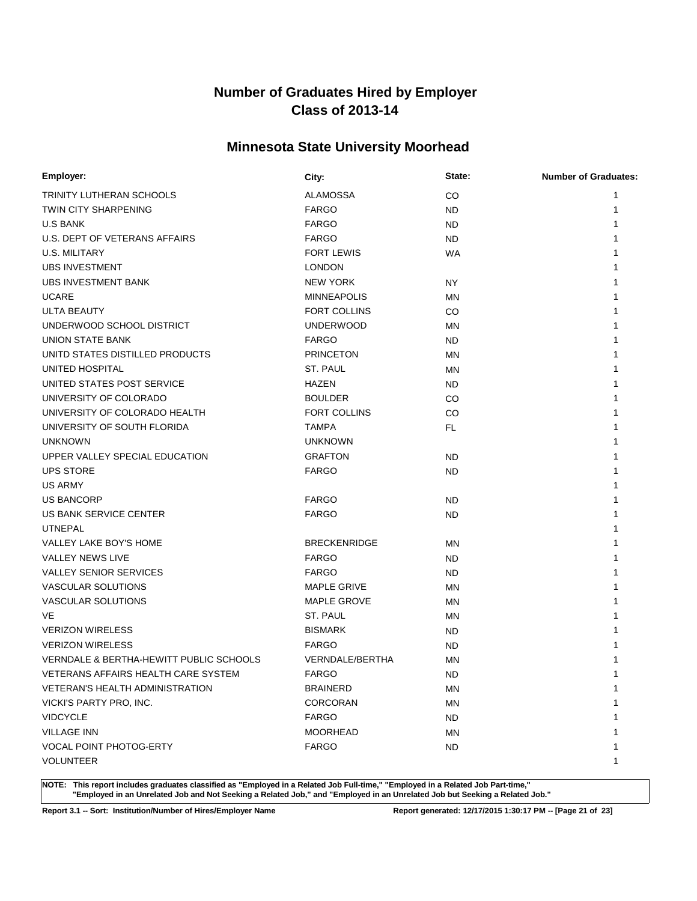# **Minnesota State University Moorhead**

| <b>Employer:</b>                        | City:                  | State:    | <b>Number of Graduates:</b> |
|-----------------------------------------|------------------------|-----------|-----------------------------|
| TRINITY LUTHERAN SCHOOLS                | <b>ALAMOSSA</b>        | CO        | 1                           |
| TWIN CITY SHARPENING                    | <b>FARGO</b>           | ND.       | 1                           |
| <b>U.S BANK</b>                         | <b>FARGO</b>           | ND.       |                             |
| U.S. DEPT OF VETERANS AFFAIRS           | <b>FARGO</b>           | ND.       |                             |
| U.S. MILITARY                           | <b>FORT LEWIS</b>      | WA        |                             |
| <b>UBS INVESTMENT</b>                   | <b>LONDON</b>          |           |                             |
| <b>UBS INVESTMENT BANK</b>              | <b>NEW YORK</b>        | NY        |                             |
| <b>UCARE</b>                            | <b>MINNEAPOLIS</b>     | MN        |                             |
| <b>ULTA BEAUTY</b>                      | <b>FORT COLLINS</b>    | CO        |                             |
| UNDERWOOD SCHOOL DISTRICT               | <b>UNDERWOOD</b>       | MN        |                             |
| <b>UNION STATE BANK</b>                 | <b>FARGO</b>           | ND.       |                             |
| UNITD STATES DISTILLED PRODUCTS         | <b>PRINCETON</b>       | ΜN        |                             |
| UNITED HOSPITAL                         | ST. PAUL               | ΜN        |                             |
| UNITED STATES POST SERVICE              | <b>HAZEN</b>           | ND.       |                             |
| UNIVERSITY OF COLORADO                  | <b>BOULDER</b>         | CO        |                             |
| UNIVERSITY OF COLORADO HEALTH           | <b>FORT COLLINS</b>    | CO        |                             |
| UNIVERSITY OF SOUTH FLORIDA             | <b>TAMPA</b>           | FL.       |                             |
| <b>UNKNOWN</b>                          | <b>UNKNOWN</b>         |           |                             |
| UPPER VALLEY SPECIAL EDUCATION          | <b>GRAFTON</b>         | ND.       |                             |
| <b>UPS STORE</b>                        | <b>FARGO</b>           | ND.       |                             |
| <b>US ARMY</b>                          |                        |           |                             |
| <b>US BANCORP</b>                       | <b>FARGO</b>           | ND.       |                             |
| US BANK SERVICE CENTER                  | <b>FARGO</b>           | ND.       |                             |
| <b>UTNEPAL</b>                          |                        |           |                             |
| VALLEY LAKE BOY'S HOME                  | <b>BRECKENRIDGE</b>    | ΜN        |                             |
| <b>VALLEY NEWS LIVE</b>                 | <b>FARGO</b>           | ND.       |                             |
| <b>VALLEY SENIOR SERVICES</b>           | <b>FARGO</b>           | ND.       |                             |
| <b>VASCULAR SOLUTIONS</b>               | <b>MAPLE GRIVE</b>     | ΜN        |                             |
| VASCULAR SOLUTIONS                      | <b>MAPLE GROVE</b>     | ΜN        |                             |
| VE                                      | ST. PAUL               | MN        |                             |
| <b>VERIZON WIRELESS</b>                 | <b>BISMARK</b>         | ND.       |                             |
| <b>VERIZON WIRELESS</b>                 | <b>FARGO</b>           | <b>ND</b> |                             |
| VERNDALE & BERTHA-HEWITT PUBLIC SCHOOLS | <b>VERNDALE/BERTHA</b> | <b>MN</b> |                             |
| VETERANS AFFAIRS HEALTH CARE SYSTEM     | <b>FARGO</b>           | ND        |                             |
| VETERAN'S HEALTH ADMINISTRATION         | <b>BRAINERD</b>        | ΜN        | $\mathbf{1}$                |
| VICKI'S PARTY PRO, INC.                 | CORCORAN               | <b>MN</b> |                             |
| <b>VIDCYCLE</b>                         | <b>FARGO</b>           | ND.       |                             |
| <b>VILLAGE INN</b>                      | <b>MOORHEAD</b>        | MN        |                             |
| VOCAL POINT PHOTOG-ERTY                 | <b>FARGO</b>           | ND.       | 1                           |
| <b>VOLUNTEER</b>                        |                        |           | 1                           |

**NOTE: This report includes graduates classified as "Employed in a Related Job Full-time," "Employed in a Related Job Part-time," "Employed in an Unrelated Job and Not Seeking a Related Job," and "Employed in an Unrelated Job but Seeking a Related Job."**

**Report 3.1 -- Sort: Institution/Number of Hires/Employer Name Report generated: 12/17/2015 1:30:17 PM -- [Page 21 of 23]**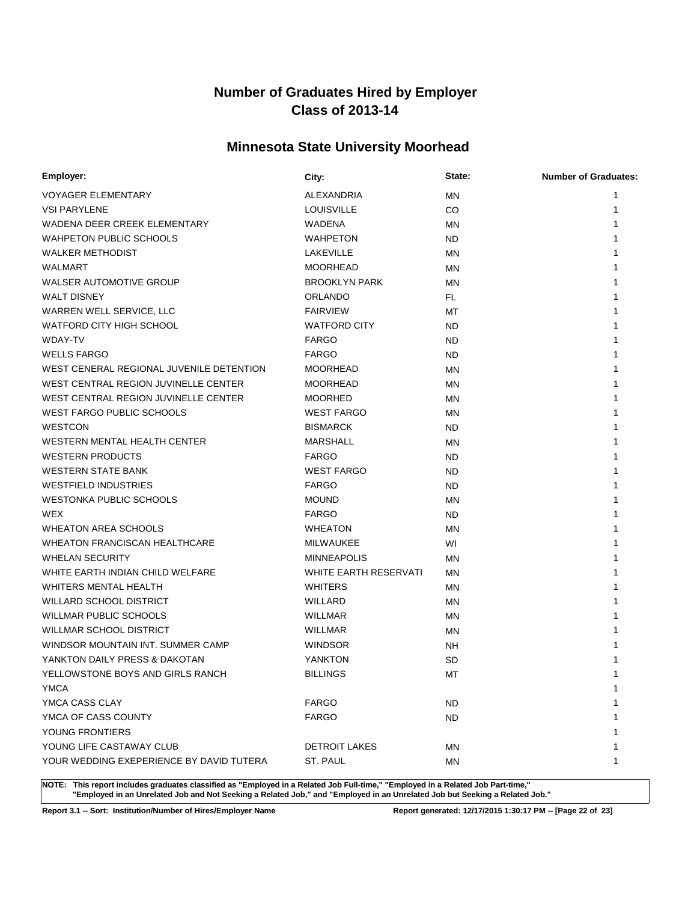# **Minnesota State University Moorhead**

| Employer:                                | City:                 | State:    | <b>Number of Graduates:</b> |
|------------------------------------------|-----------------------|-----------|-----------------------------|
| <b>VOYAGER ELEMENTARY</b>                | ALEXANDRIA            | <b>MN</b> | 1                           |
| <b>VSI PARYLENE</b>                      | <b>LOUISVILLE</b>     | CO        | 1                           |
| WADENA DEER CREEK ELEMENTARY             | WADENA                | <b>MN</b> |                             |
| <b>WAHPETON PUBLIC SCHOOLS</b>           | <b>WAHPETON</b>       | ND.       |                             |
| <b>WALKER METHODIST</b>                  | LAKEVILLE             | ΜN        |                             |
| <b>WALMART</b>                           | <b>MOORHEAD</b>       | ΜN        |                             |
| WALSER AUTOMOTIVE GROUP                  | <b>BROOKLYN PARK</b>  | <b>MN</b> |                             |
| <b>WALT DISNEY</b>                       | <b>ORLANDO</b>        | FL.       |                             |
| WARREN WELL SERVICE, LLC                 | <b>FAIRVIEW</b>       | MT        |                             |
| <b>WATFORD CITY HIGH SCHOOL</b>          | <b>WATFORD CITY</b>   | ND.       |                             |
| WDAY-TV                                  | <b>FARGO</b>          | ND.       |                             |
| <b>WELLS FARGO</b>                       | <b>FARGO</b>          | ND.       |                             |
| WEST CENERAL REGIONAL JUVENILE DETENTION | <b>MOORHEAD</b>       | <b>MN</b> |                             |
| WEST CENTRAL REGION JUVINELLE CENTER     | <b>MOORHEAD</b>       | <b>MN</b> |                             |
| WEST CENTRAL REGION JUVINELLE CENTER     | <b>MOORHED</b>        | ΜN        |                             |
| WEST FARGO PUBLIC SCHOOLS                | <b>WEST FARGO</b>     | MN        |                             |
| <b>WESTCON</b>                           | <b>BISMARCK</b>       | ND.       |                             |
| WESTERN MENTAL HEALTH CENTER             | <b>MARSHALL</b>       | MN        |                             |
| <b>WESTERN PRODUCTS</b>                  | <b>FARGO</b>          | ND.       |                             |
| <b>WESTERN STATE BANK</b>                | <b>WEST FARGO</b>     | ND.       |                             |
| <b>WESTFIELD INDUSTRIES</b>              | <b>FARGO</b>          | ND.       |                             |
| <b>WESTONKA PUBLIC SCHOOLS</b>           | <b>MOUND</b>          | MN        |                             |
| WEX                                      | <b>FARGO</b>          | ND.       |                             |
| <b>WHEATON AREA SCHOOLS</b>              | <b>WHEATON</b>        | ΜN        |                             |
| <b>WHEATON FRANCISCAN HEALTHCARE</b>     | MILWAUKEE             | WI        |                             |
| <b>WHELAN SECURITY</b>                   | <b>MINNEAPOLIS</b>    | MN        |                             |
| WHITE EARTH INDIAN CHILD WELFARE         | WHITE EARTH RESERVATI | MN        |                             |
| WHITERS MENTAL HEALTH                    | <b>WHITERS</b>        | ΜN        |                             |
| <b>WILLARD SCHOOL DISTRICT</b>           | WILLARD               | <b>MN</b> |                             |
| <b>WILLMAR PUBLIC SCHOOLS</b>            | <b>WILLMAR</b>        | ΜN        |                             |
| WILLMAR SCHOOL DISTRICT                  | <b>WILLMAR</b>        | ΜN        |                             |
| WINDSOR MOUNTAIN INT. SUMMER CAMP        | <b>WINDSOR</b>        | NΗ        |                             |
| YANKTON DAILY PRESS & DAKOTAN            | YANKTON               | <b>SD</b> |                             |
| YELLOWSTONE BOYS AND GIRLS RANCH         | <b>BILLINGS</b>       | MT        | 1                           |
| <b>YMCA</b>                              |                       |           | 1                           |
| YMCA CASS CLAY                           | <b>FARGO</b>          | ND.       |                             |
| YMCA OF CASS COUNTY                      | <b>FARGO</b>          | ND.       |                             |
| YOUNG FRONTIERS                          |                       |           |                             |
| YOUNG LIFE CASTAWAY CLUB                 | <b>DETROIT LAKES</b>  | ΜN        |                             |
| YOUR WEDDING EXEPERIENCE BY DAVID TUTERA | ST. PAUL              | ΜN        | 1                           |

**NOTE: This report includes graduates classified as "Employed in a Related Job Full-time," "Employed in a Related Job Part-time," "Employed in an Unrelated Job and Not Seeking a Related Job," and "Employed in an Unrelated Job but Seeking a Related Job."**

**Report 3.1 -- Sort: Institution/Number of Hires/Employer Name Report generated: 12/17/2015 1:30:17 PM -- [Page 22 of 23]**